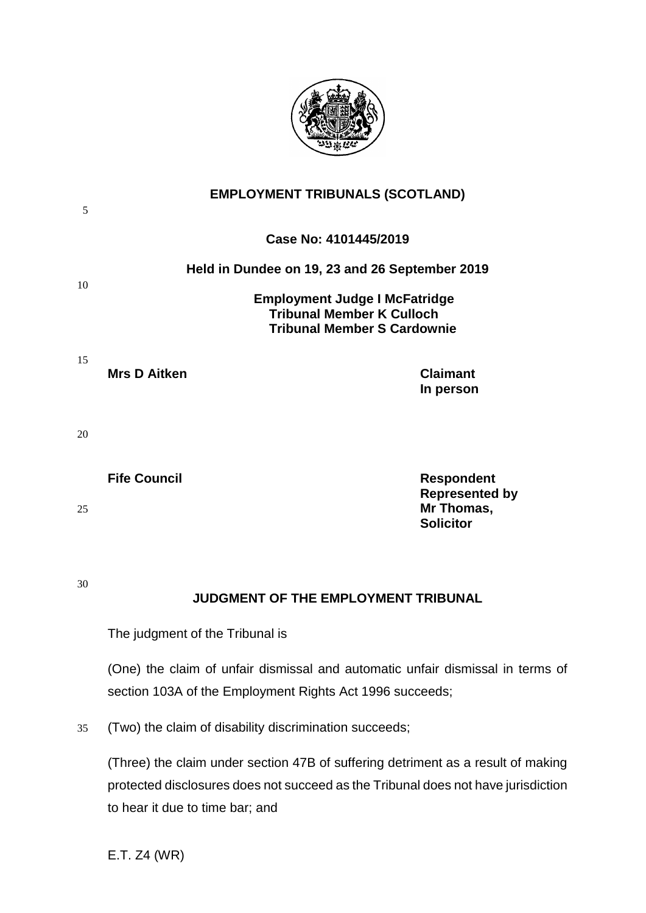

| 5  | <b>EMPLOYMENT TRIBUNALS (SCOTLAND)</b><br>Case No: 4101445/2019                                                |                                                                              |
|----|----------------------------------------------------------------------------------------------------------------|------------------------------------------------------------------------------|
|    |                                                                                                                |                                                                              |
| 10 | Held in Dundee on 19, 23 and 26 September 2019                                                                 |                                                                              |
|    | <b>Employment Judge I McFatridge</b><br><b>Tribunal Member K Culloch</b><br><b>Tribunal Member S Cardownie</b> |                                                                              |
| 15 | <b>Mrs D Aitken</b>                                                                                            | <b>Claimant</b><br>In person                                                 |
| 20 |                                                                                                                |                                                                              |
| 25 | <b>Fife Council</b>                                                                                            | <b>Respondent</b><br><b>Represented by</b><br>Mr Thomas,<br><b>Solicitor</b> |
|    |                                                                                                                |                                                                              |

30

# **JUDGMENT OF THE EMPLOYMENT TRIBUNAL**

The judgment of the Tribunal is

(One) the claim of unfair dismissal and automatic unfair dismissal in terms of section 103A of the Employment Rights Act 1996 succeeds;

35 (Two) the claim of disability discrimination succeeds;

(Three) the claim under section 47B of suffering detriment as a result of making protected disclosures does not succeed as the Tribunal does not have jurisdiction to hear it due to time bar; and

E.T. Z4 (WR)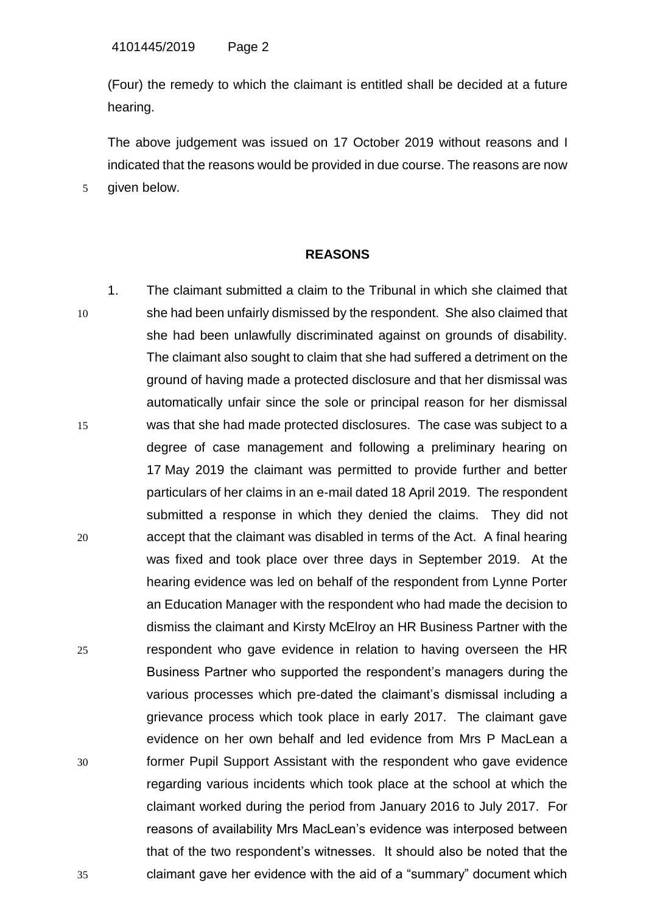(Four) the remedy to which the claimant is entitled shall be decided at a future hearing.

The above judgement was issued on 17 October 2019 without reasons and I indicated that the reasons would be provided in due course. The reasons are now 5 given below.

## **REASONS**

1. The claimant submitted a claim to the Tribunal in which she claimed that 10 she had been unfairly dismissed by the respondent. She also claimed that she had been unlawfully discriminated against on grounds of disability. The claimant also sought to claim that she had suffered a detriment on the ground of having made a protected disclosure and that her dismissal was automatically unfair since the sole or principal reason for her dismissal 15 was that she had made protected disclosures. The case was subject to a degree of case management and following a preliminary hearing on 17 May 2019 the claimant was permitted to provide further and better particulars of her claims in an e-mail dated 18 April 2019. The respondent submitted a response in which they denied the claims. They did not 20 accept that the claimant was disabled in terms of the Act. A final hearing was fixed and took place over three days in September 2019. At the hearing evidence was led on behalf of the respondent from Lynne Porter an Education Manager with the respondent who had made the decision to dismiss the claimant and Kirsty McElroy an HR Business Partner with the 25 respondent who gave evidence in relation to having overseen the HR Business Partner who supported the respondent's managers during the various processes which pre-dated the claimant's dismissal including a grievance process which took place in early 2017. The claimant gave evidence on her own behalf and led evidence from Mrs P MacLean a 30 former Pupil Support Assistant with the respondent who gave evidence regarding various incidents which took place at the school at which the claimant worked during the period from January 2016 to July 2017. For reasons of availability Mrs MacLean's evidence was interposed between that of the two respondent's witnesses. It should also be noted that the 35 claimant gave her evidence with the aid of a "summary" document which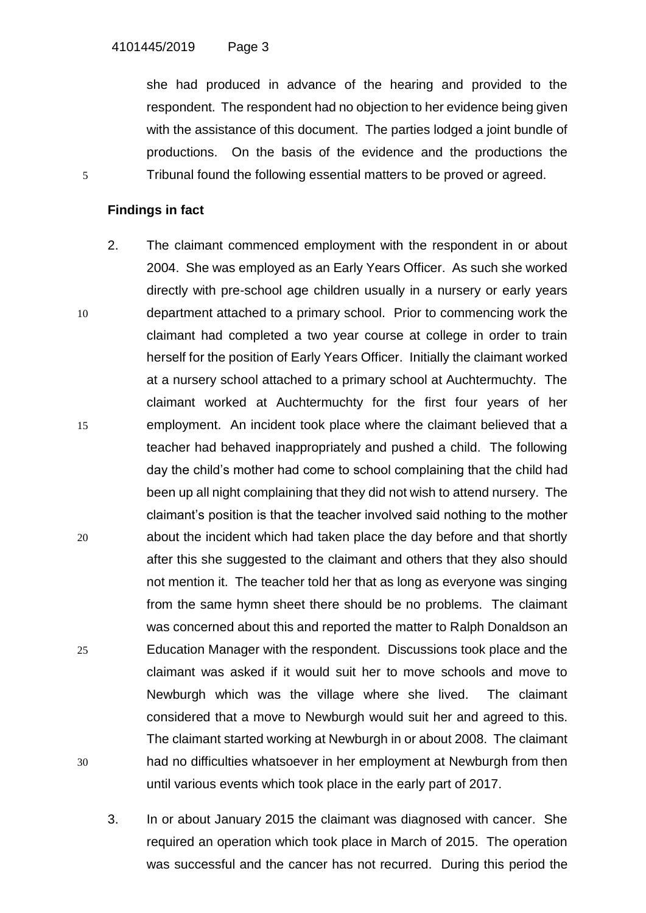she had produced in advance of the hearing and provided to the respondent. The respondent had no objection to her evidence being given with the assistance of this document. The parties lodged a joint bundle of productions. On the basis of the evidence and the productions the 5 Tribunal found the following essential matters to be proved or agreed.

# **Findings in fact**

- 2. The claimant commenced employment with the respondent in or about 2004. She was employed as an Early Years Officer. As such she worked directly with pre-school age children usually in a nursery or early years 10 department attached to a primary school. Prior to commencing work the claimant had completed a two year course at college in order to train herself for the position of Early Years Officer. Initially the claimant worked at a nursery school attached to a primary school at Auchtermuchty. The claimant worked at Auchtermuchty for the first four years of her 15 employment. An incident took place where the claimant believed that a teacher had behaved inappropriately and pushed a child. The following day the child's mother had come to school complaining that the child had been up all night complaining that they did not wish to attend nursery. The claimant's position is that the teacher involved said nothing to the mother 20 about the incident which had taken place the day before and that shortly after this she suggested to the claimant and others that they also should not mention it. The teacher told her that as long as everyone was singing from the same hymn sheet there should be no problems. The claimant was concerned about this and reported the matter to Ralph Donaldson an 25 Education Manager with the respondent. Discussions took place and the claimant was asked if it would suit her to move schools and move to Newburgh which was the village where she lived. The claimant considered that a move to Newburgh would suit her and agreed to this. The claimant started working at Newburgh in or about 2008. The claimant 30 had no difficulties whatsoever in her employment at Newburgh from then until various events which took place in the early part of 2017.
	- 3. In or about January 2015 the claimant was diagnosed with cancer. She required an operation which took place in March of 2015. The operation was successful and the cancer has not recurred. During this period the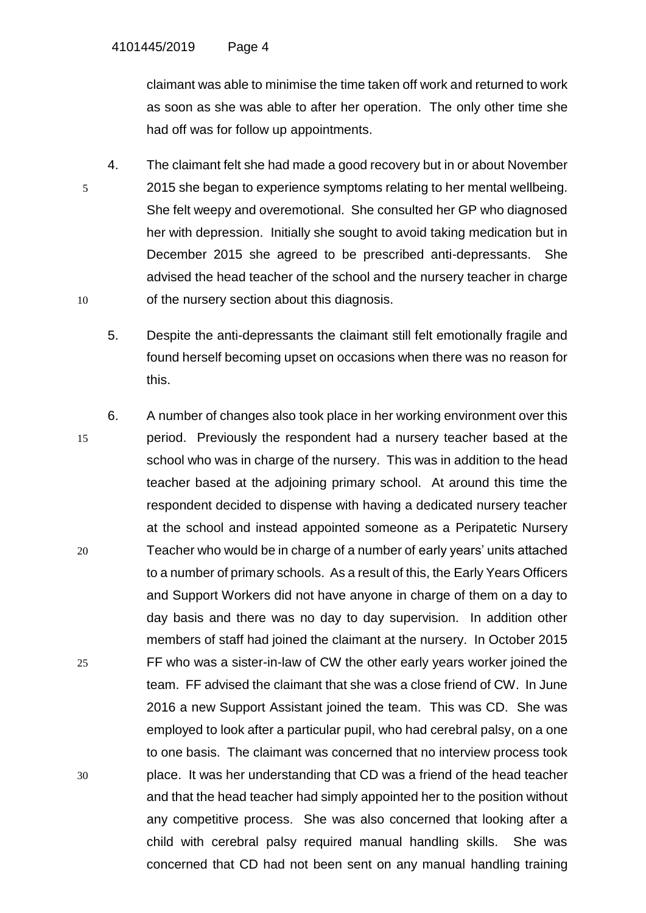claimant was able to minimise the time taken off work and returned to work as soon as she was able to after her operation. The only other time she had off was for follow up appointments.

- 4. The claimant felt she had made a good recovery but in or about November 5 2015 she began to experience symptoms relating to her mental wellbeing. She felt weepy and overemotional. She consulted her GP who diagnosed her with depression. Initially she sought to avoid taking medication but in December 2015 she agreed to be prescribed anti-depressants. She advised the head teacher of the school and the nursery teacher in charge 10 of the nursery section about this diagnosis.
	- 5. Despite the anti-depressants the claimant still felt emotionally fragile and found herself becoming upset on occasions when there was no reason for this.
- 6. A number of changes also took place in her working environment over this 15 period. Previously the respondent had a nursery teacher based at the school who was in charge of the nursery. This was in addition to the head teacher based at the adjoining primary school. At around this time the respondent decided to dispense with having a dedicated nursery teacher at the school and instead appointed someone as a Peripatetic Nursery 20 Teacher who would be in charge of a number of early years' units attached to a number of primary schools. As a result of this, the Early Years Officers and Support Workers did not have anyone in charge of them on a day to day basis and there was no day to day supervision. In addition other members of staff had joined the claimant at the nursery. In October 2015 25 FF who was a sister-in-law of CW the other early years worker joined the team. FF advised the claimant that she was a close friend of CW. In June 2016 a new Support Assistant joined the team. This was CD. She was employed to look after a particular pupil, who had cerebral palsy, on a one to one basis. The claimant was concerned that no interview process took 30 place. It was her understanding that CD was a friend of the head teacher and that the head teacher had simply appointed her to the position without any competitive process. She was also concerned that looking after a child with cerebral palsy required manual handling skills. She was concerned that CD had not been sent on any manual handling training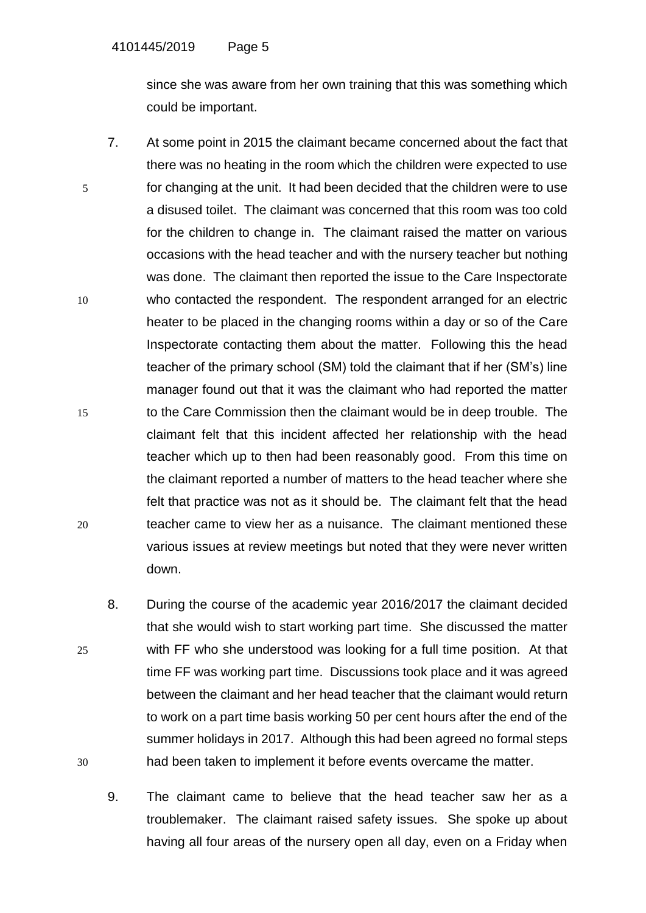since she was aware from her own training that this was something which could be important.

- 7. At some point in 2015 the claimant became concerned about the fact that there was no heating in the room which the children were expected to use 5 for changing at the unit. It had been decided that the children were to use a disused toilet. The claimant was concerned that this room was too cold for the children to change in. The claimant raised the matter on various occasions with the head teacher and with the nursery teacher but nothing was done. The claimant then reported the issue to the Care Inspectorate 10 who contacted the respondent. The respondent arranged for an electric heater to be placed in the changing rooms within a day or so of the Care Inspectorate contacting them about the matter. Following this the head teacher of the primary school (SM) told the claimant that if her (SM's) line manager found out that it was the claimant who had reported the matter 15 to the Care Commission then the claimant would be in deep trouble. The claimant felt that this incident affected her relationship with the head teacher which up to then had been reasonably good. From this time on the claimant reported a number of matters to the head teacher where she felt that practice was not as it should be. The claimant felt that the head 20 teacher came to view her as a nuisance. The claimant mentioned these various issues at review meetings but noted that they were never written down.
- 8. During the course of the academic year 2016/2017 the claimant decided that she would wish to start working part time. She discussed the matter 25 with FF who she understood was looking for a full time position. At that time FF was working part time. Discussions took place and it was agreed between the claimant and her head teacher that the claimant would return to work on a part time basis working 50 per cent hours after the end of the summer holidays in 2017. Although this had been agreed no formal steps 30 had been taken to implement it before events overcame the matter.
	- 9. The claimant came to believe that the head teacher saw her as a troublemaker. The claimant raised safety issues. She spoke up about having all four areas of the nursery open all day, even on a Friday when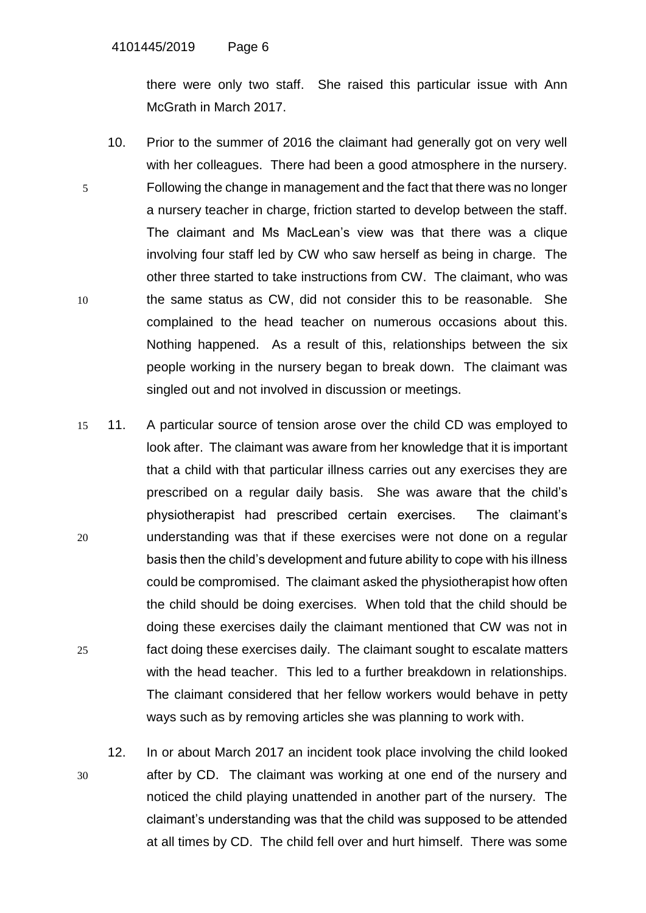there were only two staff. She raised this particular issue with Ann McGrath in March 2017.

- 10. Prior to the summer of 2016 the claimant had generally got on very well with her colleagues. There had been a good atmosphere in the nursery. 5 Following the change in management and the fact that there was no longer a nursery teacher in charge, friction started to develop between the staff. The claimant and Ms MacLean's view was that there was a clique involving four staff led by CW who saw herself as being in charge. The other three started to take instructions from CW. The claimant, who was 10 the same status as CW, did not consider this to be reasonable. She complained to the head teacher on numerous occasions about this. Nothing happened. As a result of this, relationships between the six people working in the nursery began to break down. The claimant was singled out and not involved in discussion or meetings.
- 15 11. A particular source of tension arose over the child CD was employed to look after. The claimant was aware from her knowledge that it is important that a child with that particular illness carries out any exercises they are prescribed on a regular daily basis. She was aware that the child's physiotherapist had prescribed certain exercises. The claimant's 20 understanding was that if these exercises were not done on a regular basis then the child's development and future ability to cope with his illness could be compromised. The claimant asked the physiotherapist how often the child should be doing exercises. When told that the child should be doing these exercises daily the claimant mentioned that CW was not in 25 fact doing these exercises daily. The claimant sought to escalate matters with the head teacher. This led to a further breakdown in relationships. The claimant considered that her fellow workers would behave in petty ways such as by removing articles she was planning to work with.
- 12. In or about March 2017 an incident took place involving the child looked 30 after by CD. The claimant was working at one end of the nursery and noticed the child playing unattended in another part of the nursery. The claimant's understanding was that the child was supposed to be attended at all times by CD. The child fell over and hurt himself. There was some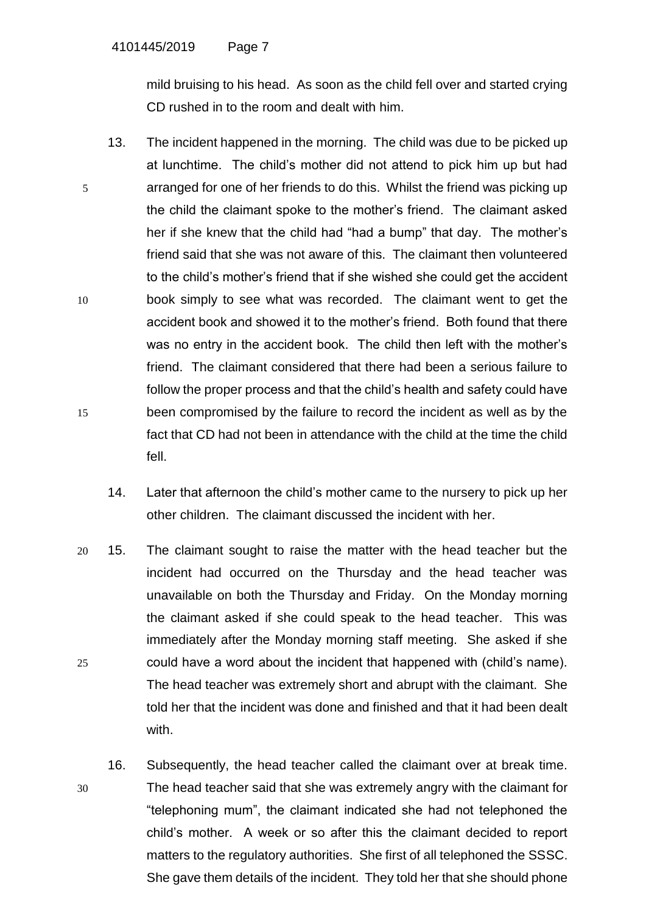mild bruising to his head. As soon as the child fell over and started crying CD rushed in to the room and dealt with him.

- 13. The incident happened in the morning. The child was due to be picked up at lunchtime. The child's mother did not attend to pick him up but had 5 arranged for one of her friends to do this. Whilst the friend was picking up the child the claimant spoke to the mother's friend. The claimant asked her if she knew that the child had "had a bump" that day. The mother's friend said that she was not aware of this. The claimant then volunteered to the child's mother's friend that if she wished she could get the accident 10 book simply to see what was recorded. The claimant went to get the accident book and showed it to the mother's friend. Both found that there was no entry in the accident book. The child then left with the mother's friend. The claimant considered that there had been a serious failure to follow the proper process and that the child's health and safety could have 15 been compromised by the failure to record the incident as well as by the fact that CD had not been in attendance with the child at the time the child fell.
	- 14. Later that afternoon the child's mother came to the nursery to pick up her other children. The claimant discussed the incident with her.
- 20 15. The claimant sought to raise the matter with the head teacher but the incident had occurred on the Thursday and the head teacher was unavailable on both the Thursday and Friday. On the Monday morning the claimant asked if she could speak to the head teacher. This was immediately after the Monday morning staff meeting. She asked if she 25 could have a word about the incident that happened with (child's name). The head teacher was extremely short and abrupt with the claimant. She told her that the incident was done and finished and that it had been dealt with.
- 16. Subsequently, the head teacher called the claimant over at break time. 30 The head teacher said that she was extremely angry with the claimant for "telephoning mum", the claimant indicated she had not telephoned the child's mother. A week or so after this the claimant decided to report matters to the regulatory authorities. She first of all telephoned the SSSC. She gave them details of the incident. They told her that she should phone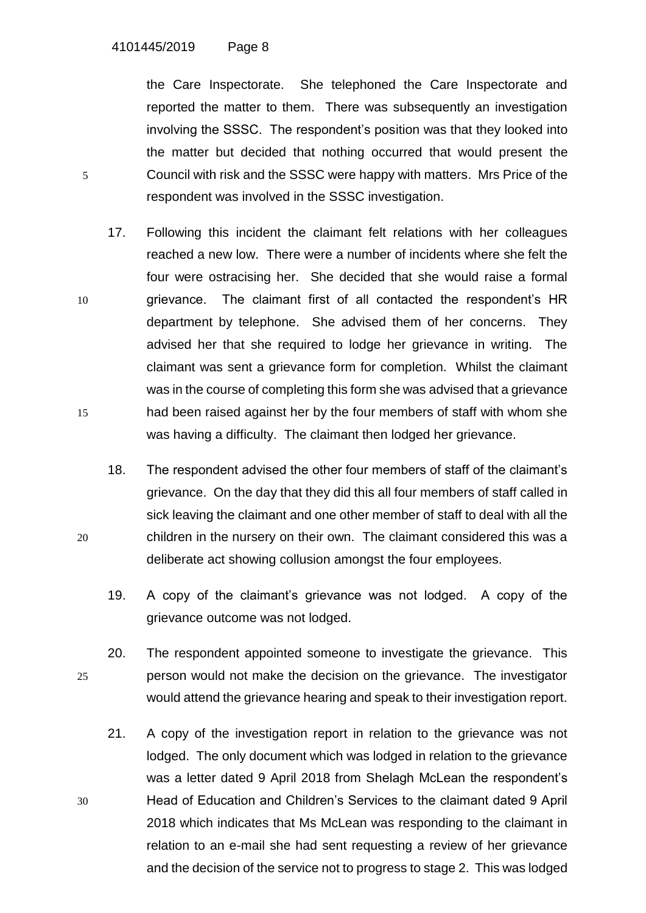the Care Inspectorate. She telephoned the Care Inspectorate and reported the matter to them. There was subsequently an investigation involving the SSSC. The respondent's position was that they looked into the matter but decided that nothing occurred that would present the 5 Council with risk and the SSSC were happy with matters. Mrs Price of the respondent was involved in the SSSC investigation.

- 17. Following this incident the claimant felt relations with her colleagues reached a new low. There were a number of incidents where she felt the four were ostracising her. She decided that she would raise a formal 10 grievance. The claimant first of all contacted the respondent's HR department by telephone. She advised them of her concerns. They advised her that she required to lodge her grievance in writing. The claimant was sent a grievance form for completion. Whilst the claimant was in the course of completing this form she was advised that a grievance 15 had been raised against her by the four members of staff with whom she was having a difficulty. The claimant then lodged her grievance.
- 18. The respondent advised the other four members of staff of the claimant's grievance. On the day that they did this all four members of staff called in sick leaving the claimant and one other member of staff to deal with all the 20 children in the nursery on their own. The claimant considered this was a deliberate act showing collusion amongst the four employees.
	- 19. A copy of the claimant's grievance was not lodged. A copy of the grievance outcome was not lodged.
- 20. The respondent appointed someone to investigate the grievance. This 25 person would not make the decision on the grievance. The investigator would attend the grievance hearing and speak to their investigation report.
- 21. A copy of the investigation report in relation to the grievance was not lodged. The only document which was lodged in relation to the grievance was a letter dated 9 April 2018 from Shelagh McLean the respondent's 30 Head of Education and Children's Services to the claimant dated 9 April 2018 which indicates that Ms McLean was responding to the claimant in relation to an e-mail she had sent requesting a review of her grievance and the decision of the service not to progress to stage 2. This was lodged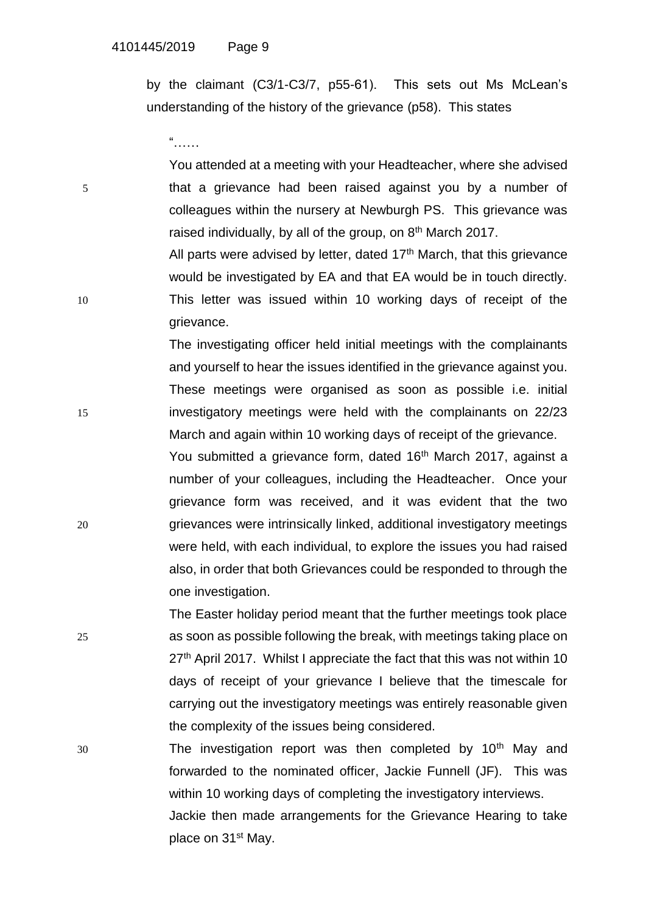by the claimant (C3/1-C3/7, p55-61). This sets out Ms McLean's understanding of the history of the grievance (p58). This states

"……

You attended at a meeting with your Headteacher, where she advised 5 that a grievance had been raised against you by a number of colleagues within the nursery at Newburgh PS. This grievance was raised individually, by all of the group, on 8<sup>th</sup> March 2017. All parts were advised by letter, dated  $17<sup>th</sup>$  March, that this grievance would be investigated by EA and that EA would be in touch directly.

10 This letter was issued within 10 working days of receipt of the grievance.

The investigating officer held initial meetings with the complainants and yourself to hear the issues identified in the grievance against you. These meetings were organised as soon as possible i.e. initial 15 investigatory meetings were held with the complainants on 22/23 March and again within 10 working days of receipt of the grievance. You submitted a grievance form, dated 16<sup>th</sup> March 2017, against a number of your colleagues, including the Headteacher. Once your grievance form was received, and it was evident that the two 20 grievances were intrinsically linked, additional investigatory meetings were held, with each individual, to explore the issues you had raised also, in order that both Grievances could be responded to through the one investigation.

The Easter holiday period meant that the further meetings took place 25 as soon as possible following the break, with meetings taking place on 27<sup>th</sup> April 2017. Whilst I appreciate the fact that this was not within 10 days of receipt of your grievance I believe that the timescale for carrying out the investigatory meetings was entirely reasonable given the complexity of the issues being considered.

 $30$  The investigation report was then completed by  $10<sup>th</sup>$  May and forwarded to the nominated officer, Jackie Funnell (JF). This was within 10 working days of completing the investigatory interviews. Jackie then made arrangements for the Grievance Hearing to take place on 31<sup>st</sup> May.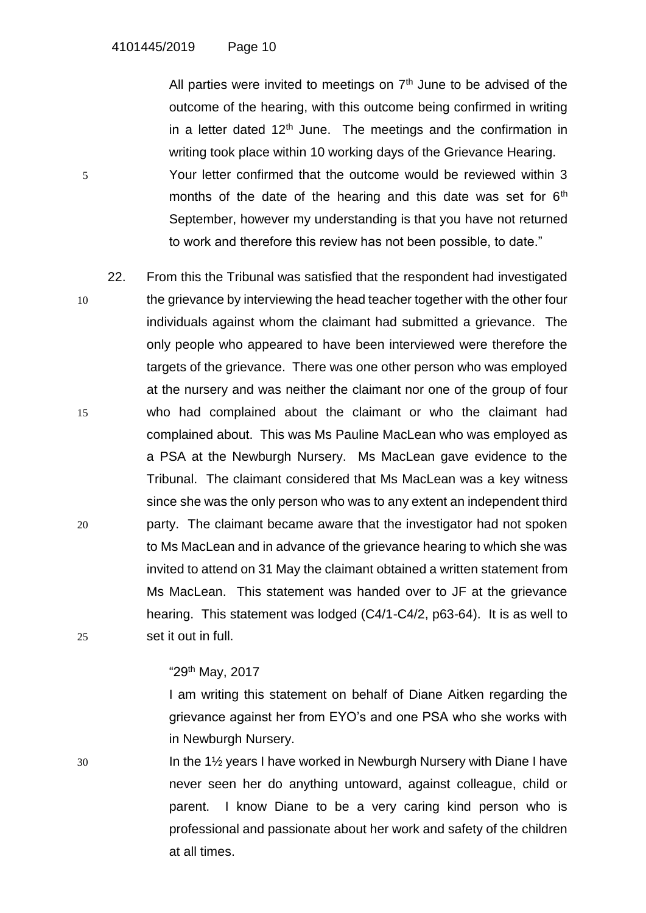All parties were invited to meetings on  $7<sup>th</sup>$  June to be advised of the outcome of the hearing, with this outcome being confirmed in writing in a letter dated  $12<sup>th</sup>$  June. The meetings and the confirmation in writing took place within 10 working days of the Grievance Hearing. 5 Your letter confirmed that the outcome would be reviewed within 3 months of the date of the hearing and this date was set for  $6<sup>th</sup>$ September, however my understanding is that you have not returned to work and therefore this review has not been possible, to date."

22. From this the Tribunal was satisfied that the respondent had investigated 10 the grievance by interviewing the head teacher together with the other four individuals against whom the claimant had submitted a grievance. The only people who appeared to have been interviewed were therefore the targets of the grievance. There was one other person who was employed at the nursery and was neither the claimant nor one of the group of four 15 who had complained about the claimant or who the claimant had complained about. This was Ms Pauline MacLean who was employed as a PSA at the Newburgh Nursery. Ms MacLean gave evidence to the Tribunal. The claimant considered that Ms MacLean was a key witness since she was the only person who was to any extent an independent third 20 party. The claimant became aware that the investigator had not spoken to Ms MacLean and in advance of the grievance hearing to which she was invited to attend on 31 May the claimant obtained a written statement from Ms MacLean. This statement was handed over to JF at the grievance hearing. This statement was lodged (C4/1-C4/2, p63-64). It is as well to 25 set it out in full.

## "29th May, 2017

I am writing this statement on behalf of Diane Aitken regarding the grievance against her from EYO's and one PSA who she works with in Newburgh Nursery.

30 In the 1½ years I have worked in Newburgh Nursery with Diane I have never seen her do anything untoward, against colleague, child or parent. I know Diane to be a very caring kind person who is professional and passionate about her work and safety of the children at all times.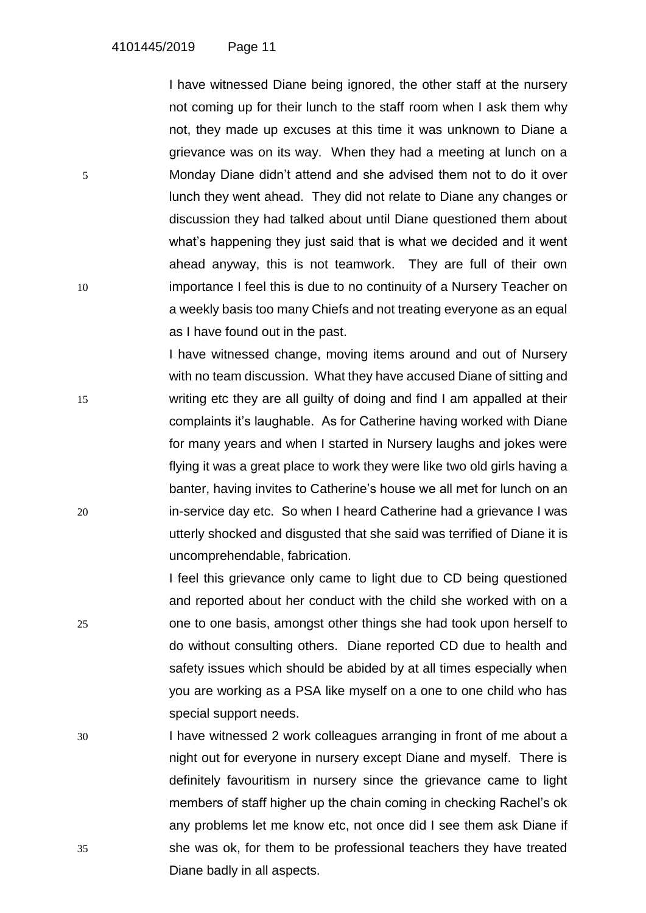I have witnessed Diane being ignored, the other staff at the nursery not coming up for their lunch to the staff room when I ask them why not, they made up excuses at this time it was unknown to Diane a grievance was on its way. When they had a meeting at lunch on a 5 Monday Diane didn't attend and she advised them not to do it over lunch they went ahead. They did not relate to Diane any changes or discussion they had talked about until Diane questioned them about what's happening they just said that is what we decided and it went ahead anyway, this is not teamwork. They are full of their own 10 importance I feel this is due to no continuity of a Nursery Teacher on a weekly basis too many Chiefs and not treating everyone as an equal as I have found out in the past.

I have witnessed change, moving items around and out of Nursery with no team discussion. What they have accused Diane of sitting and 15 writing etc they are all guilty of doing and find I am appalled at their complaints it's laughable. As for Catherine having worked with Diane for many years and when I started in Nursery laughs and jokes were flying it was a great place to work they were like two old girls having a banter, having invites to Catherine's house we all met for lunch on an 20 in-service day etc. So when I heard Catherine had a grievance I was utterly shocked and disgusted that she said was terrified of Diane it is uncomprehendable, fabrication.

I feel this grievance only came to light due to CD being questioned and reported about her conduct with the child she worked with on a 25 one to one basis, amongst other things she had took upon herself to do without consulting others. Diane reported CD due to health and safety issues which should be abided by at all times especially when you are working as a PSA like myself on a one to one child who has special support needs.

30 I have witnessed 2 work colleagues arranging in front of me about a night out for everyone in nursery except Diane and myself. There is definitely favouritism in nursery since the grievance came to light members of staff higher up the chain coming in checking Rachel's ok any problems let me know etc, not once did I see them ask Diane if 35 she was ok, for them to be professional teachers they have treated Diane badly in all aspects.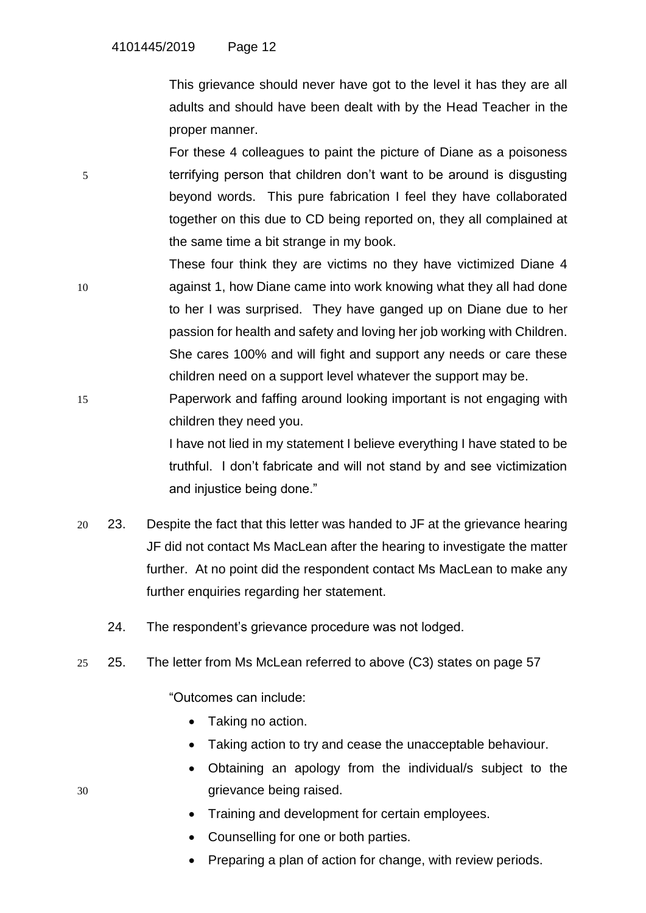This grievance should never have got to the level it has they are all adults and should have been dealt with by the Head Teacher in the proper manner.

For these 4 colleagues to paint the picture of Diane as a poisoness 5 terrifying person that children don't want to be around is disgusting beyond words. This pure fabrication I feel they have collaborated together on this due to CD being reported on, they all complained at the same time a bit strange in my book.

- These four think they are victims no they have victimized Diane 4 10 against 1, how Diane came into work knowing what they all had done to her I was surprised. They have ganged up on Diane due to her passion for health and safety and loving her job working with Children. She cares 100% and will fight and support any needs or care these children need on a support level whatever the support may be.
- 15 Paperwork and faffing around looking important is not engaging with children they need you.

I have not lied in my statement I believe everything I have stated to be truthful. I don't fabricate and will not stand by and see victimization and injustice being done."

- 20 23. Despite the fact that this letter was handed to JF at the grievance hearing JF did not contact Ms MacLean after the hearing to investigate the matter further. At no point did the respondent contact Ms MacLean to make any further enquiries regarding her statement.
	- 24. The respondent's grievance procedure was not lodged.
- 25 25. The letter from Ms McLean referred to above (C3) states on page 57

"Outcomes can include:

- Taking no action.
- Taking action to try and cease the unacceptable behaviour.
- Obtaining an apology from the individual/s subject to the 30 grievance being raised.
	- Training and development for certain employees.
	- Counselling for one or both parties.
	- Preparing a plan of action for change, with review periods.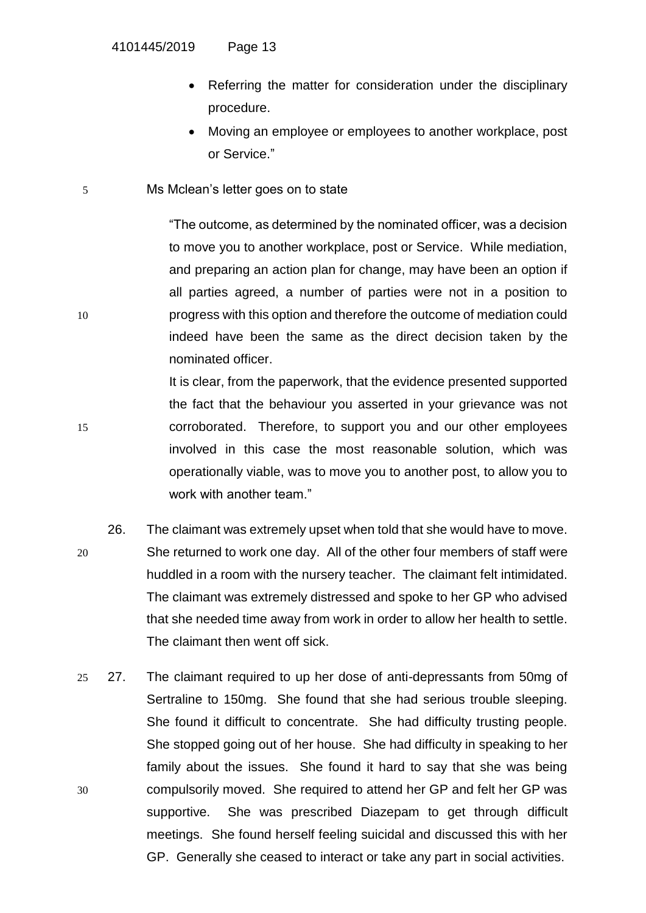- Referring the matter for consideration under the disciplinary procedure.
- Moving an employee or employees to another workplace, post or Service."
- 5 Ms Mclean's letter goes on to state

"The outcome, as determined by the nominated officer, was a decision to move you to another workplace, post or Service. While mediation, and preparing an action plan for change, may have been an option if all parties agreed, a number of parties were not in a position to 10 progress with this option and therefore the outcome of mediation could indeed have been the same as the direct decision taken by the nominated officer.

It is clear, from the paperwork, that the evidence presented supported the fact that the behaviour you asserted in your grievance was not 15 corroborated. Therefore, to support you and our other employees involved in this case the most reasonable solution, which was operationally viable, was to move you to another post, to allow you to work with another team."

- 26. The claimant was extremely upset when told that she would have to move. 20 She returned to work one day. All of the other four members of staff were huddled in a room with the nursery teacher. The claimant felt intimidated. The claimant was extremely distressed and spoke to her GP who advised that she needed time away from work in order to allow her health to settle. The claimant then went off sick.
- 25 27. The claimant required to up her dose of anti-depressants from 50mg of Sertraline to 150mg. She found that she had serious trouble sleeping. She found it difficult to concentrate. She had difficulty trusting people. She stopped going out of her house. She had difficulty in speaking to her family about the issues. She found it hard to say that she was being 30 compulsorily moved. She required to attend her GP and felt her GP was supportive. She was prescribed Diazepam to get through difficult meetings. She found herself feeling suicidal and discussed this with her GP. Generally she ceased to interact or take any part in social activities.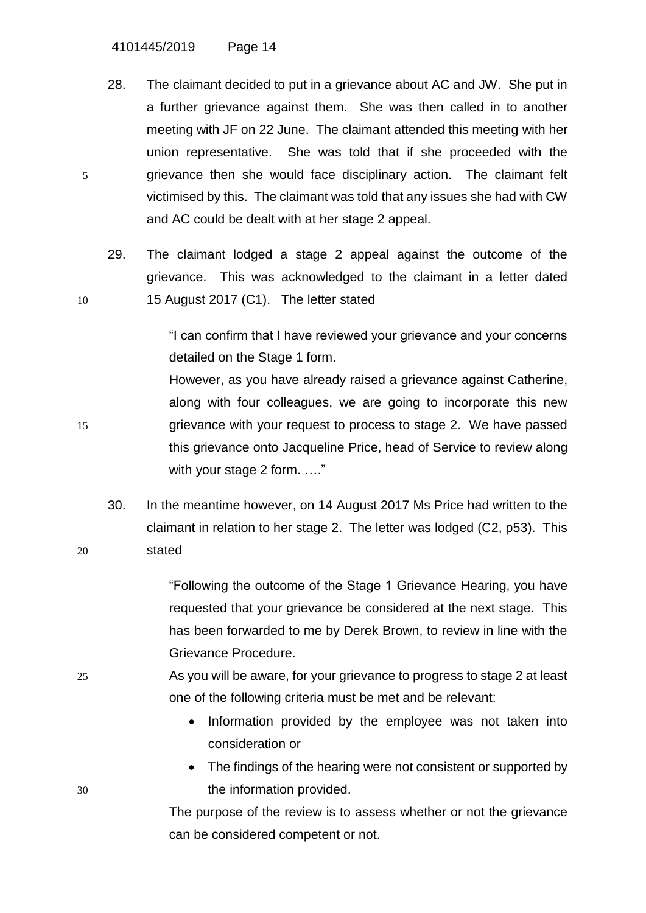4101445/2019 Page 14

28. The claimant decided to put in a grievance about AC and JW. She put in a further grievance against them. She was then called in to another meeting with JF on 22 June. The claimant attended this meeting with her union representative. She was told that if she proceeded with the 5 grievance then she would face disciplinary action. The claimant felt victimised by this. The claimant was told that any issues she had with CW and AC could be dealt with at her stage 2 appeal.

29. The claimant lodged a stage 2 appeal against the outcome of the grievance. This was acknowledged to the claimant in a letter dated 10 15 August 2017 (C1). The letter stated

> "I can confirm that I have reviewed your grievance and your concerns detailed on the Stage 1 form.

However, as you have already raised a grievance against Catherine, along with four colleagues, we are going to incorporate this new 15 grievance with your request to process to stage 2. We have passed this grievance onto Jacqueline Price, head of Service to review along with your stage 2 form. ...."

30. In the meantime however, on 14 August 2017 Ms Price had written to the claimant in relation to her stage 2. The letter was lodged (C2, p53). This 20 stated

> "Following the outcome of the Stage 1 Grievance Hearing, you have requested that your grievance be considered at the next stage. This has been forwarded to me by Derek Brown, to review in line with the Grievance Procedure.

- 25 As you will be aware, for your grievance to progress to stage 2 at least one of the following criteria must be met and be relevant:
	- Information provided by the employee was not taken into consideration or
- The findings of the hearing were not consistent or supported by 30 the information provided.

The purpose of the review is to assess whether or not the grievance can be considered competent or not.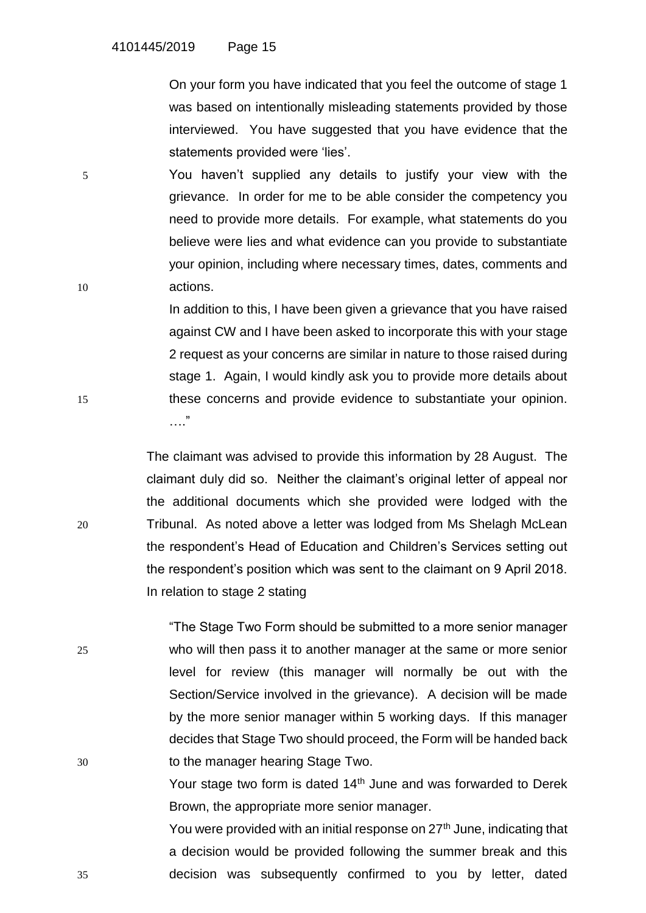On your form you have indicated that you feel the outcome of stage 1 was based on intentionally misleading statements provided by those interviewed. You have suggested that you have evidence that the statements provided were 'lies'.

5 You haven't supplied any details to justify your view with the grievance. In order for me to be able consider the competency you need to provide more details. For example, what statements do you believe were lies and what evidence can you provide to substantiate your opinion, including where necessary times, dates, comments and 10 actions.

In addition to this, I have been given a grievance that you have raised against CW and I have been asked to incorporate this with your stage 2 request as your concerns are similar in nature to those raised during stage 1. Again, I would kindly ask you to provide more details about 15 these concerns and provide evidence to substantiate your opinion. …."

The claimant was advised to provide this information by 28 August. The claimant duly did so. Neither the claimant's original letter of appeal nor the additional documents which she provided were lodged with the 20 Tribunal. As noted above a letter was lodged from Ms Shelagh McLean the respondent's Head of Education and Children's Services setting out the respondent's position which was sent to the claimant on 9 April 2018. In relation to stage 2 stating

"The Stage Two Form should be submitted to a more senior manager 25 who will then pass it to another manager at the same or more senior level for review (this manager will normally be out with the Section/Service involved in the grievance). A decision will be made by the more senior manager within 5 working days. If this manager decides that Stage Two should proceed, the Form will be handed back 30 to the manager hearing Stage Two.

> Your stage two form is dated 14<sup>th</sup> June and was forwarded to Derek Brown, the appropriate more senior manager.

You were provided with an initial response on 27<sup>th</sup> June, indicating that a decision would be provided following the summer break and this 35 decision was subsequently confirmed to you by letter, dated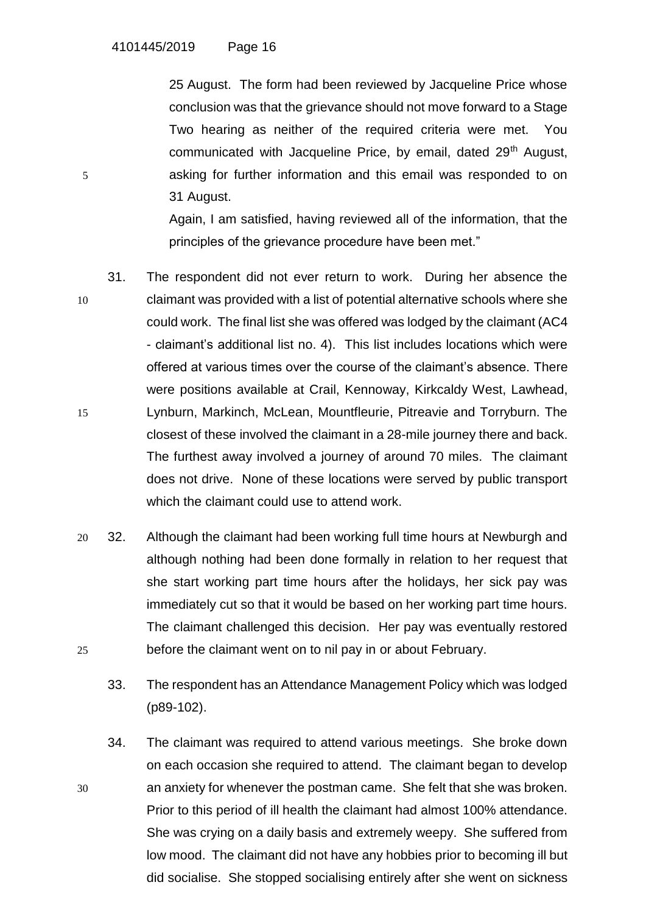25 August. The form had been reviewed by Jacqueline Price whose conclusion was that the grievance should not move forward to a Stage Two hearing as neither of the required criteria were met. You communicated with Jacqueline Price, by email, dated 29<sup>th</sup> August, 5 asking for further information and this email was responded to on 31 August.

> Again, I am satisfied, having reviewed all of the information, that the principles of the grievance procedure have been met."

- 31. The respondent did not ever return to work. During her absence the 10 claimant was provided with a list of potential alternative schools where she could work. The final list she was offered was lodged by the claimant (AC4 - claimant's additional list no. 4). This list includes locations which were offered at various times over the course of the claimant's absence. There were positions available at Crail, Kennoway, Kirkcaldy West, Lawhead, 15 Lynburn, Markinch, McLean, Mountfleurie, Pitreavie and Torryburn. The closest of these involved the claimant in a 28-mile journey there and back. The furthest away involved a journey of around 70 miles. The claimant does not drive. None of these locations were served by public transport which the claimant could use to attend work.
- 20 32. Although the claimant had been working full time hours at Newburgh and although nothing had been done formally in relation to her request that she start working part time hours after the holidays, her sick pay was immediately cut so that it would be based on her working part time hours. The claimant challenged this decision. Her pay was eventually restored 25 before the claimant went on to nil pay in or about February.
	- 33. The respondent has an Attendance Management Policy which was lodged (p89-102).
- 34. The claimant was required to attend various meetings. She broke down on each occasion she required to attend. The claimant began to develop 30 an anxiety for whenever the postman came. She felt that she was broken. Prior to this period of ill health the claimant had almost 100% attendance. She was crying on a daily basis and extremely weepy. She suffered from low mood. The claimant did not have any hobbies prior to becoming ill but did socialise. She stopped socialising entirely after she went on sickness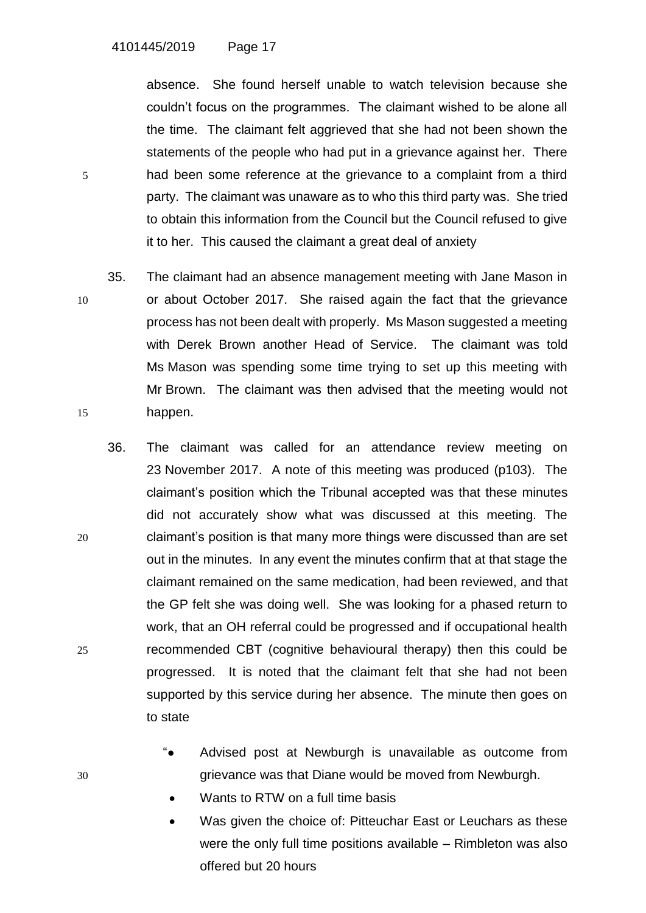absence. She found herself unable to watch television because she couldn't focus on the programmes. The claimant wished to be alone all the time. The claimant felt aggrieved that she had not been shown the statements of the people who had put in a grievance against her. There 5 had been some reference at the grievance to a complaint from a third party. The claimant was unaware as to who this third party was. She tried to obtain this information from the Council but the Council refused to give it to her. This caused the claimant a great deal of anxiety

- 35. The claimant had an absence management meeting with Jane Mason in 10 or about October 2017. She raised again the fact that the grievance process has not been dealt with properly. Ms Mason suggested a meeting with Derek Brown another Head of Service. The claimant was told Ms Mason was spending some time trying to set up this meeting with Mr Brown. The claimant was then advised that the meeting would not 15 happen.
- 36. The claimant was called for an attendance review meeting on 23 November 2017. A note of this meeting was produced (p103). The claimant's position which the Tribunal accepted was that these minutes did not accurately show what was discussed at this meeting. The 20 claimant's position is that many more things were discussed than are set out in the minutes. In any event the minutes confirm that at that stage the claimant remained on the same medication, had been reviewed, and that the GP felt she was doing well. She was looking for a phased return to work, that an OH referral could be progressed and if occupational health 25 recommended CBT (cognitive behavioural therapy) then this could be progressed. It is noted that the claimant felt that she had not been supported by this service during her absence. The minute then goes on to state
- "● Advised post at Newburgh is unavailable as outcome from 30 grievance was that Diane would be moved from Newburgh.
	- Wants to RTW on a full time basis
	- Was given the choice of: Pitteuchar East or Leuchars as these were the only full time positions available – Rimbleton was also offered but 20 hours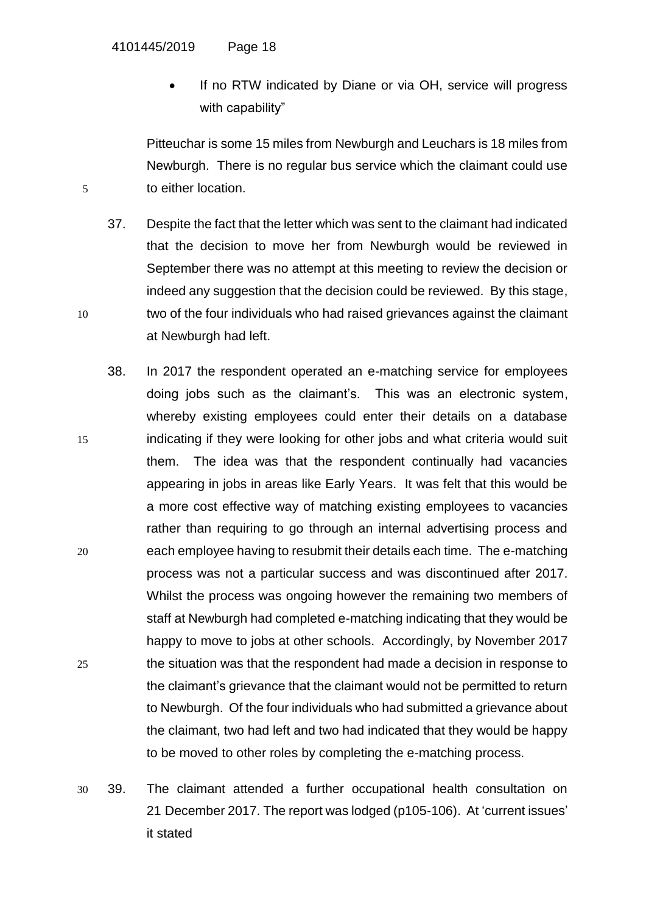If no RTW indicated by Diane or via OH, service will progress with capability"

Pitteuchar is some 15 miles from Newburgh and Leuchars is 18 miles from Newburgh. There is no regular bus service which the claimant could use 5 to either location.

37. Despite the fact that the letter which was sent to the claimant had indicated that the decision to move her from Newburgh would be reviewed in September there was no attempt at this meeting to review the decision or indeed any suggestion that the decision could be reviewed. By this stage, 10 two of the four individuals who had raised grievances against the claimant at Newburgh had left.

- 38. In 2017 the respondent operated an e-matching service for employees doing jobs such as the claimant's. This was an electronic system, whereby existing employees could enter their details on a database 15 indicating if they were looking for other jobs and what criteria would suit them. The idea was that the respondent continually had vacancies appearing in jobs in areas like Early Years. It was felt that this would be a more cost effective way of matching existing employees to vacancies rather than requiring to go through an internal advertising process and 20 each employee having to resubmit their details each time. The e-matching process was not a particular success and was discontinued after 2017. Whilst the process was ongoing however the remaining two members of staff at Newburgh had completed e-matching indicating that they would be happy to move to jobs at other schools. Accordingly, by November 2017 25 the situation was that the respondent had made a decision in response to the claimant's grievance that the claimant would not be permitted to return to Newburgh. Of the four individuals who had submitted a grievance about the claimant, two had left and two had indicated that they would be happy to be moved to other roles by completing the e-matching process.
- 30 39. The claimant attended a further occupational health consultation on 21 December 2017. The report was lodged (p105-106). At 'current issues' it stated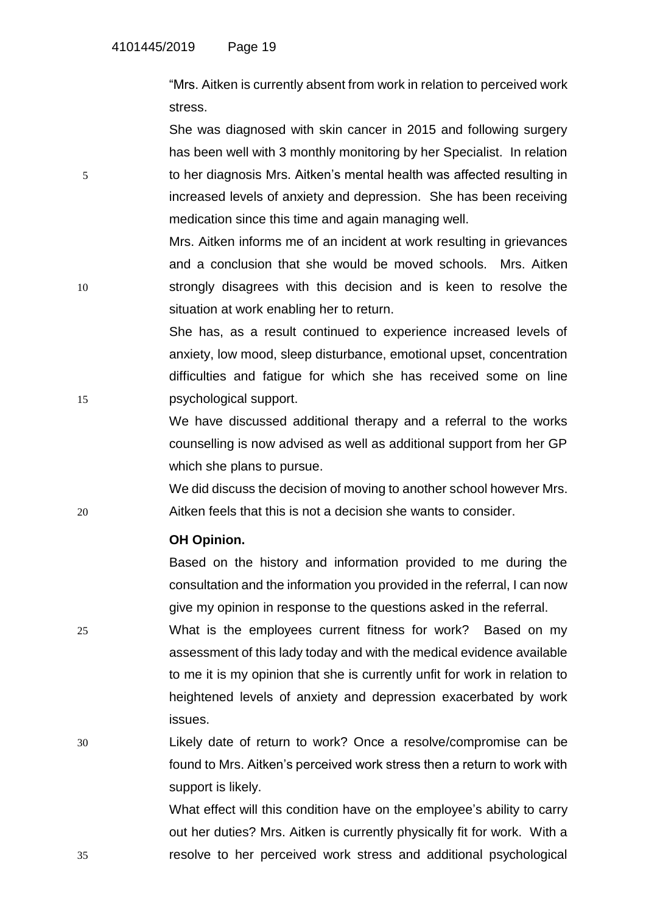"Mrs. Aitken is currently absent from work in relation to perceived work stress.

She was diagnosed with skin cancer in 2015 and following surgery has been well with 3 monthly monitoring by her Specialist. In relation 5 to her diagnosis Mrs. Aitken's mental health was affected resulting in increased levels of anxiety and depression. She has been receiving medication since this time and again managing well.

Mrs. Aitken informs me of an incident at work resulting in grievances and a conclusion that she would be moved schools. Mrs. Aitken 10 strongly disagrees with this decision and is keen to resolve the situation at work enabling her to return.

She has, as a result continued to experience increased levels of anxiety, low mood, sleep disturbance, emotional upset, concentration difficulties and fatigue for which she has received some on line 15 psychological support.

> We have discussed additional therapy and a referral to the works counselling is now advised as well as additional support from her GP which she plans to pursue.

We did discuss the decision of moving to another school however Mrs. 20 Aitken feels that this is not a decision she wants to consider.

## **OH Opinion.**

Based on the history and information provided to me during the consultation and the information you provided in the referral, I can now give my opinion in response to the questions asked in the referral.

25 What is the employees current fitness for work? Based on my assessment of this lady today and with the medical evidence available to me it is my opinion that she is currently unfit for work in relation to heightened levels of anxiety and depression exacerbated by work issues.

30 Likely date of return to work? Once a resolve/compromise can be found to Mrs. Aitken's perceived work stress then a return to work with support is likely.

What effect will this condition have on the employee's ability to carry out her duties? Mrs. Aitken is currently physically fit for work. With a 35 resolve to her perceived work stress and additional psychological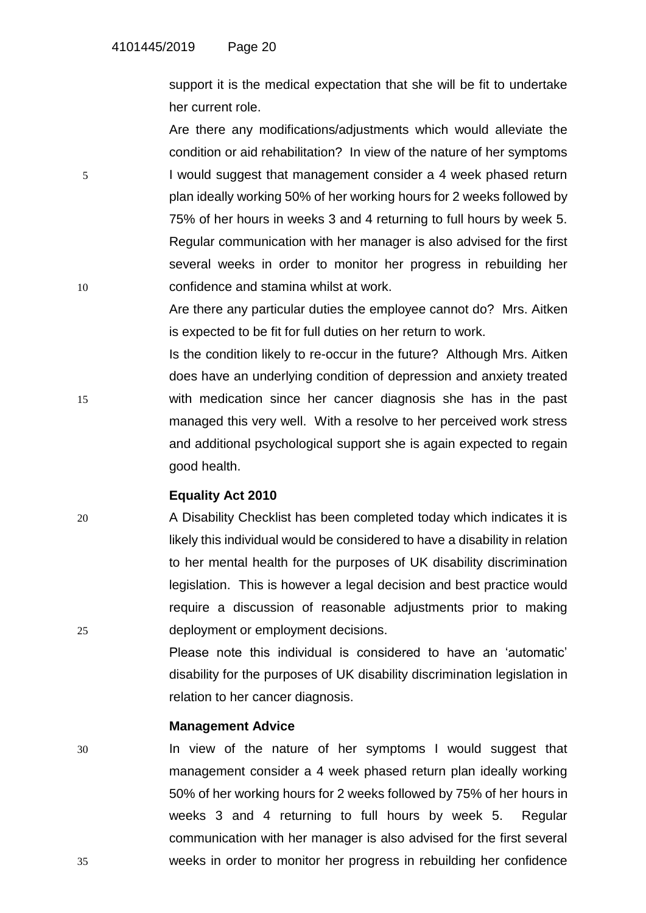support it is the medical expectation that she will be fit to undertake her current role.

Are there any modifications/adjustments which would alleviate the condition or aid rehabilitation? In view of the nature of her symptoms 5 I would suggest that management consider a 4 week phased return plan ideally working 50% of her working hours for 2 weeks followed by 75% of her hours in weeks 3 and 4 returning to full hours by week 5. Regular communication with her manager is also advised for the first several weeks in order to monitor her progress in rebuilding her 10 confidence and stamina whilst at work.

> Are there any particular duties the employee cannot do? Mrs. Aitken is expected to be fit for full duties on her return to work.

Is the condition likely to re-occur in the future? Although Mrs. Aitken does have an underlying condition of depression and anxiety treated 15 with medication since her cancer diagnosis she has in the past managed this very well. With a resolve to her perceived work stress and additional psychological support she is again expected to regain good health.

## **Equality Act 2010**

20 A Disability Checklist has been completed today which indicates it is likely this individual would be considered to have a disability in relation to her mental health for the purposes of UK disability discrimination legislation. This is however a legal decision and best practice would require a discussion of reasonable adjustments prior to making 25 deployment or employment decisions.

> Please note this individual is considered to have an 'automatic' disability for the purposes of UK disability discrimination legislation in relation to her cancer diagnosis.

### **Management Advice**

30 In view of the nature of her symptoms I would suggest that management consider a 4 week phased return plan ideally working 50% of her working hours for 2 weeks followed by 75% of her hours in weeks 3 and 4 returning to full hours by week 5. Regular communication with her manager is also advised for the first several 35 weeks in order to monitor her progress in rebuilding her confidence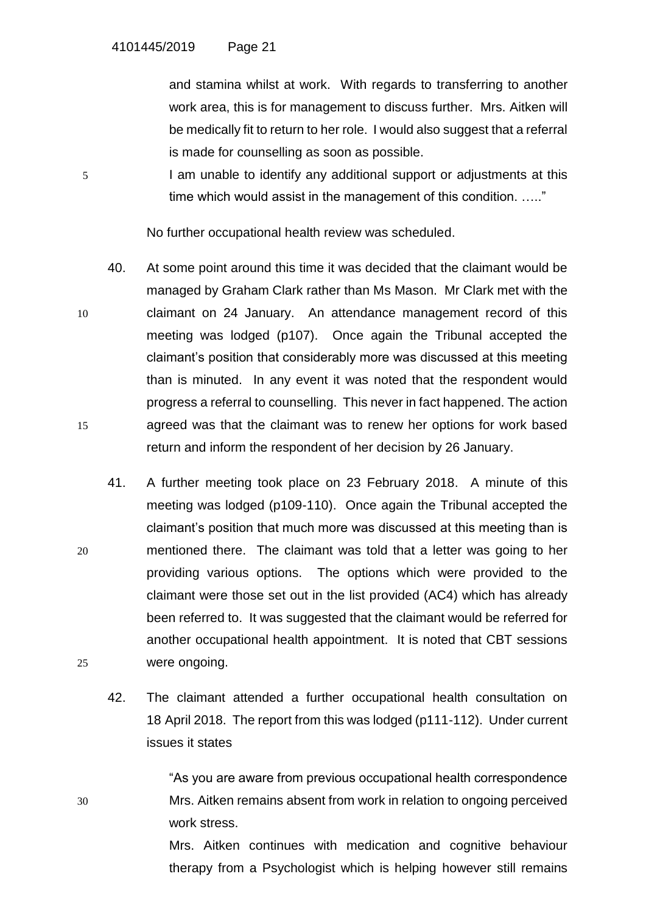and stamina whilst at work. With regards to transferring to another work area, this is for management to discuss further. Mrs. Aitken will be medically fit to return to her role. I would also suggest that a referral is made for counselling as soon as possible.

5 I am unable to identify any additional support or adjustments at this time which would assist in the management of this condition. ….."

No further occupational health review was scheduled.

- 40. At some point around this time it was decided that the claimant would be managed by Graham Clark rather than Ms Mason. Mr Clark met with the 10 claimant on 24 January. An attendance management record of this meeting was lodged (p107). Once again the Tribunal accepted the claimant's position that considerably more was discussed at this meeting than is minuted. In any event it was noted that the respondent would progress a referral to counselling. This never in fact happened. The action 15 agreed was that the claimant was to renew her options for work based return and inform the respondent of her decision by 26 January.
- 41. A further meeting took place on 23 February 2018. A minute of this meeting was lodged (p109-110). Once again the Tribunal accepted the claimant's position that much more was discussed at this meeting than is 20 mentioned there. The claimant was told that a letter was going to her providing various options. The options which were provided to the claimant were those set out in the list provided (AC4) which has already been referred to. It was suggested that the claimant would be referred for another occupational health appointment. It is noted that CBT sessions 25 were ongoing.
	- 42. The claimant attended a further occupational health consultation on 18 April 2018. The report from this was lodged (p111-112). Under current issues it states

"As you are aware from previous occupational health correspondence 30 Mrs. Aitken remains absent from work in relation to ongoing perceived work stress.

> Mrs. Aitken continues with medication and cognitive behaviour therapy from a Psychologist which is helping however still remains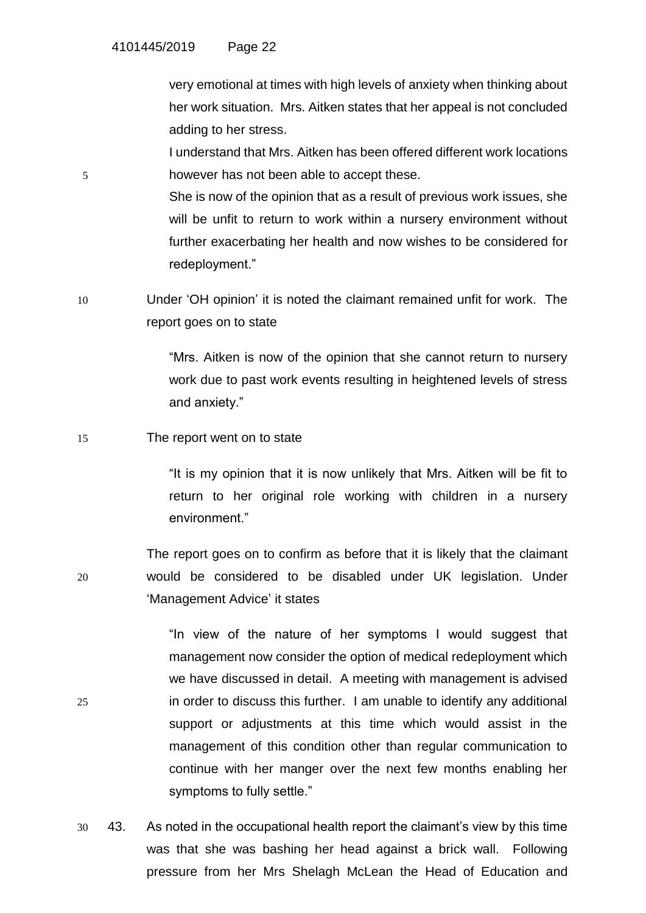very emotional at times with high levels of anxiety when thinking about her work situation. Mrs. Aitken states that her appeal is not concluded adding to her stress.

I understand that Mrs. Aitken has been offered different work locations 5 however has not been able to accept these.

> She is now of the opinion that as a result of previous work issues, she will be unfit to return to work within a nursery environment without further exacerbating her health and now wishes to be considered for redeployment."

10 Under 'OH opinion' it is noted the claimant remained unfit for work. The report goes on to state

> "Mrs. Aitken is now of the opinion that she cannot return to nursery work due to past work events resulting in heightened levels of stress and anxiety."

### 15 The report went on to state

"It is my opinion that it is now unlikely that Mrs. Aitken will be fit to return to her original role working with children in a nursery environment."

The report goes on to confirm as before that it is likely that the claimant 20 would be considered to be disabled under UK legislation. Under 'Management Advice' it states

"In view of the nature of her symptoms I would suggest that management now consider the option of medical redeployment which we have discussed in detail. A meeting with management is advised 25 in order to discuss this further. I am unable to identify any additional support or adjustments at this time which would assist in the management of this condition other than regular communication to continue with her manger over the next few months enabling her symptoms to fully settle."

30 43. As noted in the occupational health report the claimant's view by this time was that she was bashing her head against a brick wall. Following pressure from her Mrs Shelagh McLean the Head of Education and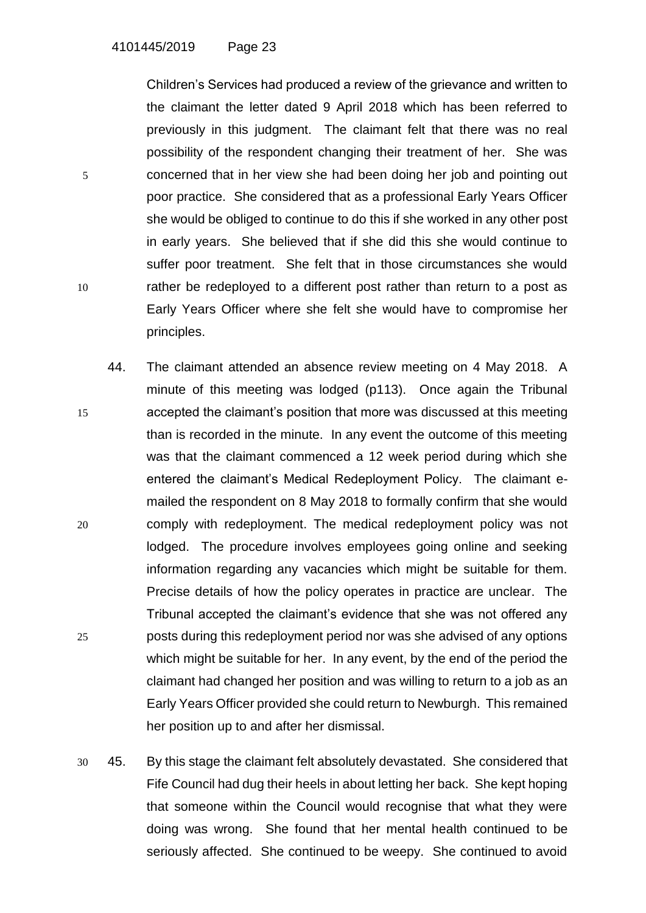Children's Services had produced a review of the grievance and written to the claimant the letter dated 9 April 2018 which has been referred to previously in this judgment. The claimant felt that there was no real possibility of the respondent changing their treatment of her. She was 5 concerned that in her view she had been doing her job and pointing out poor practice. She considered that as a professional Early Years Officer she would be obliged to continue to do this if she worked in any other post in early years. She believed that if she did this she would continue to suffer poor treatment. She felt that in those circumstances she would 10 rather be redeployed to a different post rather than return to a post as Early Years Officer where she felt she would have to compromise her principles.

- 44. The claimant attended an absence review meeting on 4 May 2018. A minute of this meeting was lodged (p113). Once again the Tribunal 15 accepted the claimant's position that more was discussed at this meeting than is recorded in the minute. In any event the outcome of this meeting was that the claimant commenced a 12 week period during which she entered the claimant's Medical Redeployment Policy. The claimant emailed the respondent on 8 May 2018 to formally confirm that she would 20 comply with redeployment. The medical redeployment policy was not lodged. The procedure involves employees going online and seeking information regarding any vacancies which might be suitable for them. Precise details of how the policy operates in practice are unclear. The Tribunal accepted the claimant's evidence that she was not offered any 25 posts during this redeployment period nor was she advised of any options which might be suitable for her. In any event, by the end of the period the claimant had changed her position and was willing to return to a job as an Early Years Officer provided she could return to Newburgh. This remained her position up to and after her dismissal.
- 30 45. By this stage the claimant felt absolutely devastated. She considered that Fife Council had dug their heels in about letting her back. She kept hoping that someone within the Council would recognise that what they were doing was wrong. She found that her mental health continued to be seriously affected. She continued to be weepy. She continued to avoid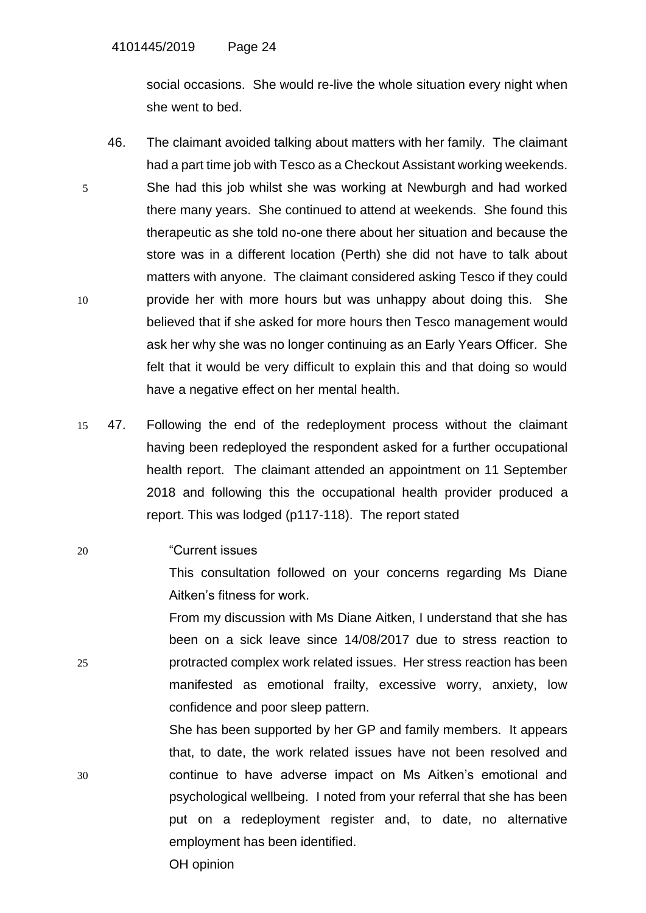social occasions. She would re-live the whole situation every night when she went to bed.

- 46. The claimant avoided talking about matters with her family. The claimant had a part time job with Tesco as a Checkout Assistant working weekends. 5 She had this job whilst she was working at Newburgh and had worked there many years. She continued to attend at weekends. She found this therapeutic as she told no-one there about her situation and because the store was in a different location (Perth) she did not have to talk about matters with anyone. The claimant considered asking Tesco if they could 10 provide her with more hours but was unhappy about doing this. She believed that if she asked for more hours then Tesco management would ask her why she was no longer continuing as an Early Years Officer. She felt that it would be very difficult to explain this and that doing so would have a negative effect on her mental health.
- 15 47. Following the end of the redeployment process without the claimant having been redeployed the respondent asked for a further occupational health report. The claimant attended an appointment on 11 September 2018 and following this the occupational health provider produced a report. This was lodged (p117-118). The report stated
- 20 "Current issues

This consultation followed on your concerns regarding Ms Diane Aitken's fitness for work.

From my discussion with Ms Diane Aitken, I understand that she has been on a sick leave since 14/08/2017 due to stress reaction to 25 protracted complex work related issues. Her stress reaction has been manifested as emotional frailty, excessive worry, anxiety, low confidence and poor sleep pattern.

She has been supported by her GP and family members. It appears that, to date, the work related issues have not been resolved and 30 continue to have adverse impact on Ms Aitken's emotional and psychological wellbeing. I noted from your referral that she has been put on a redeployment register and, to date, no alternative employment has been identified.

OH opinion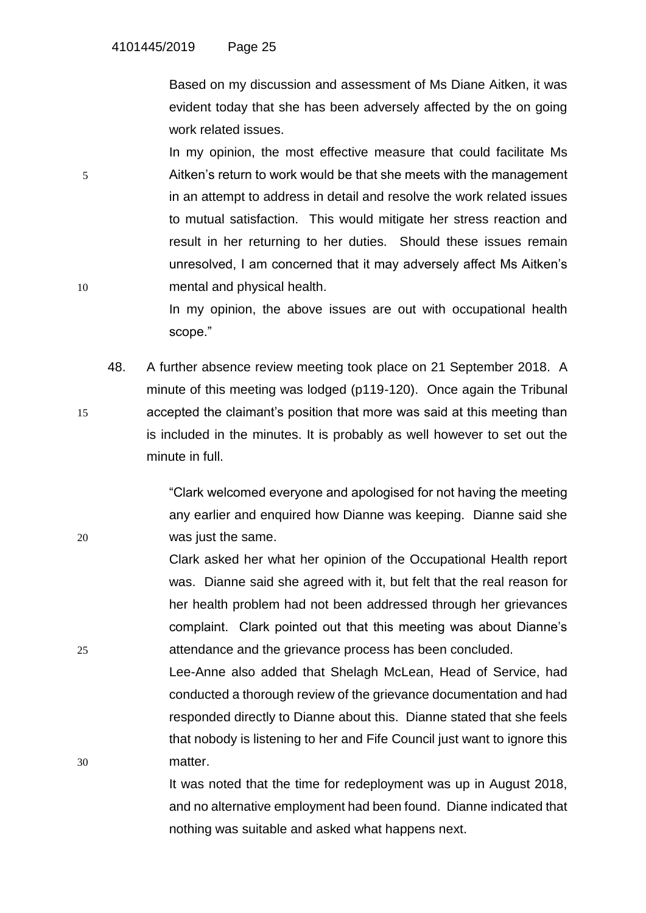Based on my discussion and assessment of Ms Diane Aitken, it was evident today that she has been adversely affected by the on going work related issues.

In my opinion, the most effective measure that could facilitate Ms 5 Aitken's return to work would be that she meets with the management in an attempt to address in detail and resolve the work related issues to mutual satisfaction. This would mitigate her stress reaction and result in her returning to her duties. Should these issues remain unresolved, I am concerned that it may adversely affect Ms Aitken's 10 mental and physical health.

> In my opinion, the above issues are out with occupational health scope."

48. A further absence review meeting took place on 21 September 2018. A minute of this meeting was lodged (p119-120). Once again the Tribunal 15 accepted the claimant's position that more was said at this meeting than is included in the minutes. It is probably as well however to set out the minute in full.

"Clark welcomed everyone and apologised for not having the meeting any earlier and enquired how Dianne was keeping. Dianne said she 20 was just the same.

Clark asked her what her opinion of the Occupational Health report was. Dianne said she agreed with it, but felt that the real reason for her health problem had not been addressed through her grievances complaint. Clark pointed out that this meeting was about Dianne's 25 attendance and the grievance process has been concluded.

Lee-Anne also added that Shelagh McLean, Head of Service, had conducted a thorough review of the grievance documentation and had responded directly to Dianne about this. Dianne stated that she feels that nobody is listening to her and Fife Council just want to ignore this 30 matter.

> It was noted that the time for redeployment was up in August 2018, and no alternative employment had been found. Dianne indicated that nothing was suitable and asked what happens next.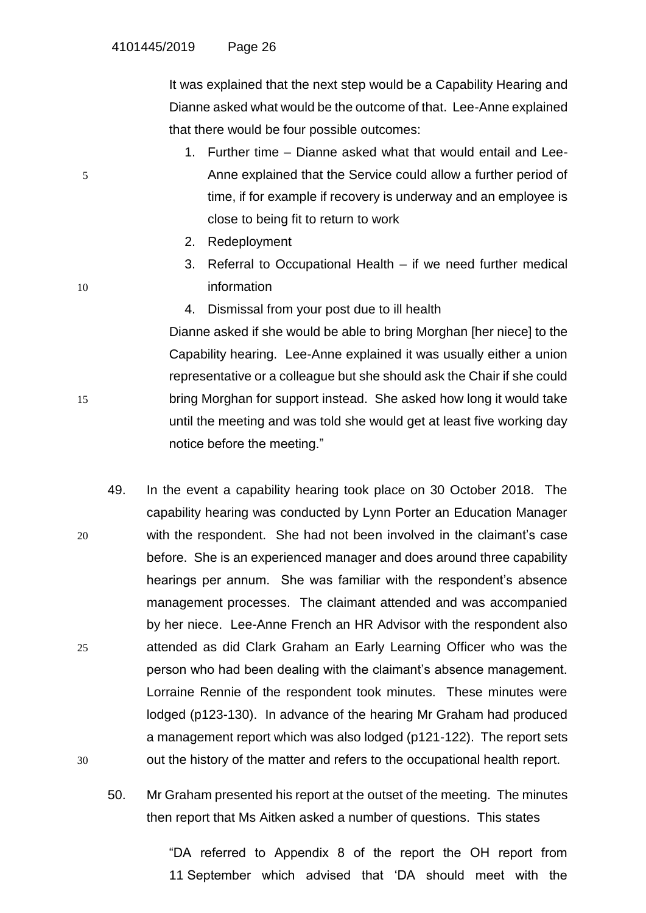It was explained that the next step would be a Capability Hearing and Dianne asked what would be the outcome of that. Lee-Anne explained that there would be four possible outcomes:

- 1. Further time Dianne asked what that would entail and Lee-5 Anne explained that the Service could allow a further period of time, if for example if recovery is underway and an employee is close to being fit to return to work
	- 2. Redeployment
- 3. Referral to Occupational Health if we need further medical 10 information
	- 4. Dismissal from your post due to ill health

Dianne asked if she would be able to bring Morghan [her niece] to the Capability hearing. Lee-Anne explained it was usually either a union representative or a colleague but she should ask the Chair if she could 15 bring Morghan for support instead. She asked how long it would take until the meeting and was told she would get at least five working day notice before the meeting."

- 49. In the event a capability hearing took place on 30 October 2018. The capability hearing was conducted by Lynn Porter an Education Manager 20 with the respondent. She had not been involved in the claimant's case before. She is an experienced manager and does around three capability hearings per annum. She was familiar with the respondent's absence management processes. The claimant attended and was accompanied by her niece. Lee-Anne French an HR Advisor with the respondent also 25 attended as did Clark Graham an Early Learning Officer who was the person who had been dealing with the claimant's absence management. Lorraine Rennie of the respondent took minutes. These minutes were lodged (p123-130). In advance of the hearing Mr Graham had produced a management report which was also lodged (p121-122). The report sets 30 out the history of the matter and refers to the occupational health report.
	- 50. Mr Graham presented his report at the outset of the meeting. The minutes then report that Ms Aitken asked a number of questions. This states

"DA referred to Appendix 8 of the report the OH report from 11 September which advised that 'DA should meet with the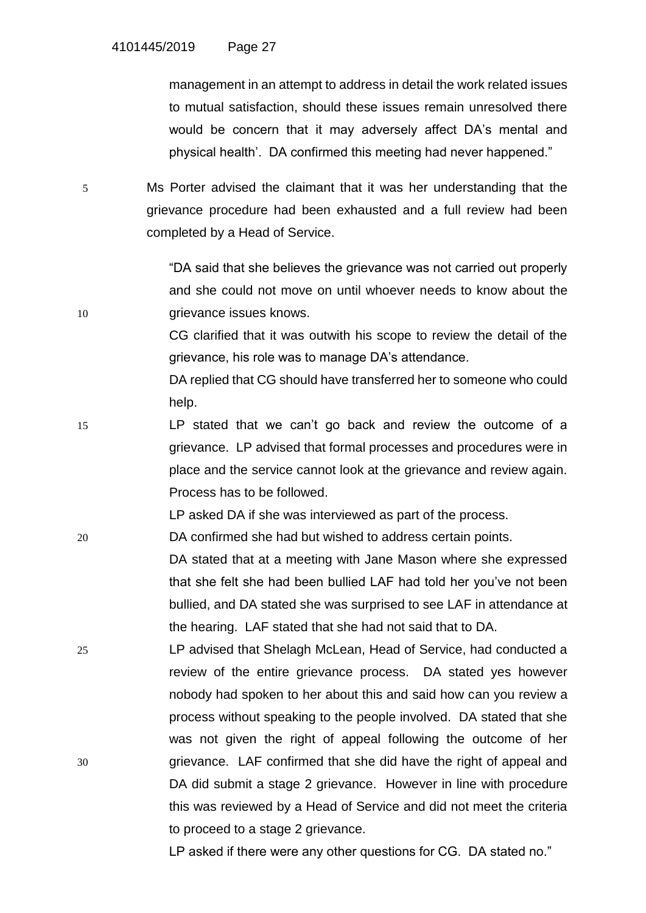management in an attempt to address in detail the work related issues to mutual satisfaction, should these issues remain unresolved there would be concern that it may adversely affect DA's mental and physical health'. DA confirmed this meeting had never happened."

5 Ms Porter advised the claimant that it was her understanding that the grievance procedure had been exhausted and a full review had been completed by a Head of Service.

"DA said that she believes the grievance was not carried out properly and she could not move on until whoever needs to know about the 10 **grievance issues knows.** 

> CG clarified that it was outwith his scope to review the detail of the grievance, his role was to manage DA's attendance.

> DA replied that CG should have transferred her to someone who could help.

15 LP stated that we can't go back and review the outcome of a grievance. LP advised that formal processes and procedures were in place and the service cannot look at the grievance and review again. Process has to be followed.

LP asked DA if she was interviewed as part of the process.

20 DA confirmed she had but wished to address certain points.

DA stated that at a meeting with Jane Mason where she expressed that she felt she had been bullied LAF had told her you've not been bullied, and DA stated she was surprised to see LAF in attendance at the hearing. LAF stated that she had not said that to DA.

25 LP advised that Shelagh McLean, Head of Service, had conducted a review of the entire grievance process. DA stated yes however nobody had spoken to her about this and said how can you review a process without speaking to the people involved. DA stated that she was not given the right of appeal following the outcome of her 30 grievance. LAF confirmed that she did have the right of appeal and DA did submit a stage 2 grievance. However in line with procedure this was reviewed by a Head of Service and did not meet the criteria to proceed to a stage 2 grievance.

LP asked if there were any other questions for CG. DA stated no."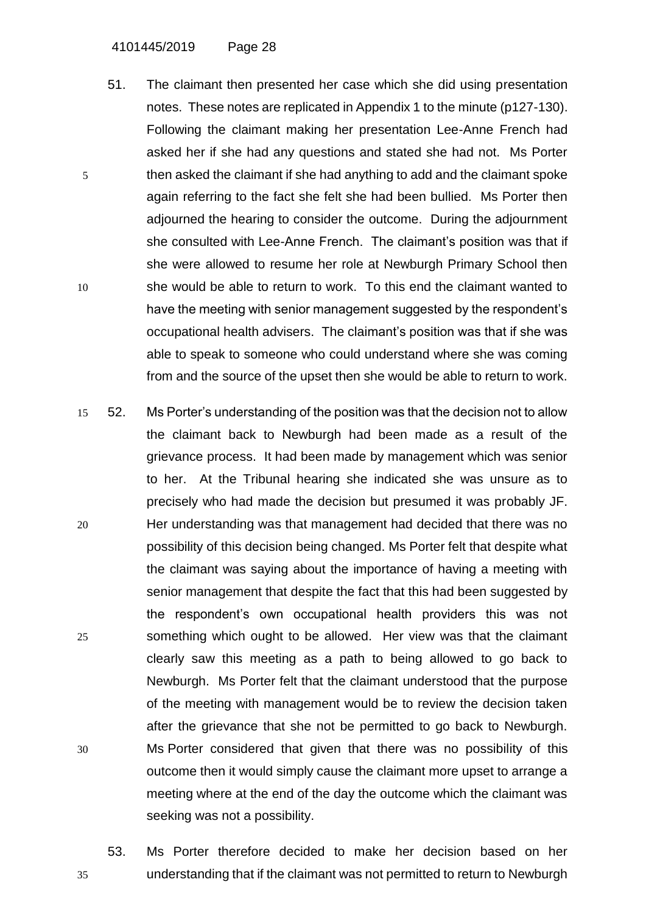4101445/2019 Page 28

- 51. The claimant then presented her case which she did using presentation notes. These notes are replicated in Appendix 1 to the minute (p127-130). Following the claimant making her presentation Lee-Anne French had asked her if she had any questions and stated she had not. Ms Porter 5 then asked the claimant if she had anything to add and the claimant spoke again referring to the fact she felt she had been bullied. Ms Porter then adjourned the hearing to consider the outcome. During the adjournment she consulted with Lee-Anne French. The claimant's position was that if she were allowed to resume her role at Newburgh Primary School then 10 she would be able to return to work. To this end the claimant wanted to have the meeting with senior management suggested by the respondent's occupational health advisers. The claimant's position was that if she was able to speak to someone who could understand where she was coming from and the source of the upset then she would be able to return to work.
- 15 52. Ms Porter's understanding of the position was that the decision not to allow the claimant back to Newburgh had been made as a result of the grievance process. It had been made by management which was senior to her. At the Tribunal hearing she indicated she was unsure as to precisely who had made the decision but presumed it was probably JF. 20 Her understanding was that management had decided that there was no possibility of this decision being changed. Ms Porter felt that despite what the claimant was saying about the importance of having a meeting with senior management that despite the fact that this had been suggested by the respondent's own occupational health providers this was not 25 something which ought to be allowed. Her view was that the claimant clearly saw this meeting as a path to being allowed to go back to Newburgh. Ms Porter felt that the claimant understood that the purpose of the meeting with management would be to review the decision taken after the grievance that she not be permitted to go back to Newburgh. 30 Ms Porter considered that given that there was no possibility of this outcome then it would simply cause the claimant more upset to arrange a meeting where at the end of the day the outcome which the claimant was seeking was not a possibility.
- 53. Ms Porter therefore decided to make her decision based on her 35 understanding that if the claimant was not permitted to return to Newburgh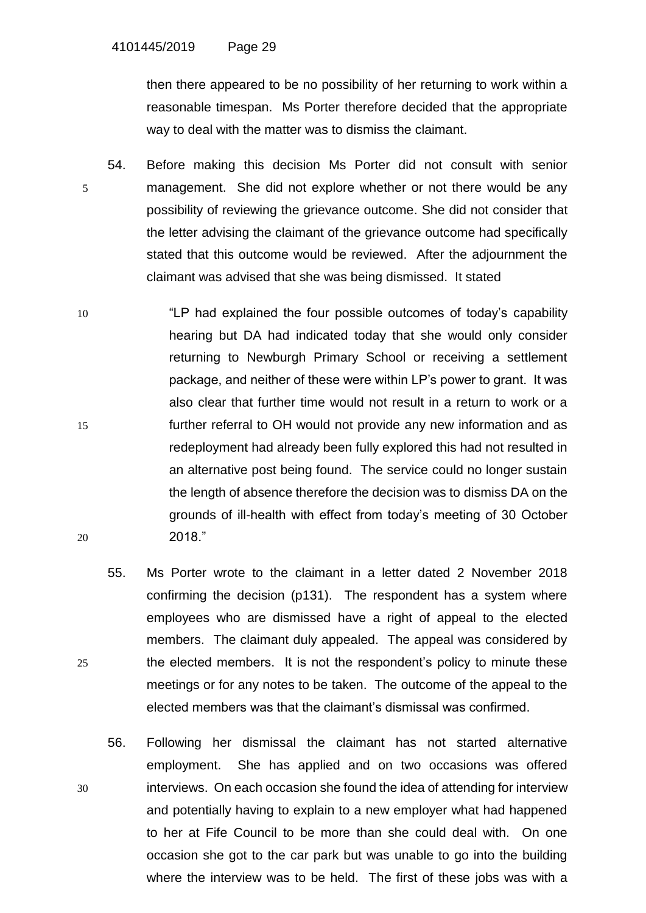then there appeared to be no possibility of her returning to work within a reasonable timespan. Ms Porter therefore decided that the appropriate way to deal with the matter was to dismiss the claimant.

- 54. Before making this decision Ms Porter did not consult with senior 5 management. She did not explore whether or not there would be any possibility of reviewing the grievance outcome. She did not consider that the letter advising the claimant of the grievance outcome had specifically stated that this outcome would be reviewed. After the adjournment the claimant was advised that she was being dismissed. It stated
- 10 "LP had explained the four possible outcomes of today's capability hearing but DA had indicated today that she would only consider returning to Newburgh Primary School or receiving a settlement package, and neither of these were within LP's power to grant. It was also clear that further time would not result in a return to work or a 15 further referral to OH would not provide any new information and as redeployment had already been fully explored this had not resulted in an alternative post being found. The service could no longer sustain the length of absence therefore the decision was to dismiss DA on the grounds of ill-health with effect from today's meeting of 30 October 20 2018."
- 55. Ms Porter wrote to the claimant in a letter dated 2 November 2018 confirming the decision (p131). The respondent has a system where employees who are dismissed have a right of appeal to the elected members. The claimant duly appealed. The appeal was considered by 25 the elected members. It is not the respondent's policy to minute these meetings or for any notes to be taken. The outcome of the appeal to the elected members was that the claimant's dismissal was confirmed.
- 56. Following her dismissal the claimant has not started alternative employment. She has applied and on two occasions was offered 30 interviews. On each occasion she found the idea of attending for interview and potentially having to explain to a new employer what had happened to her at Fife Council to be more than she could deal with. On one occasion she got to the car park but was unable to go into the building where the interview was to be held. The first of these jobs was with a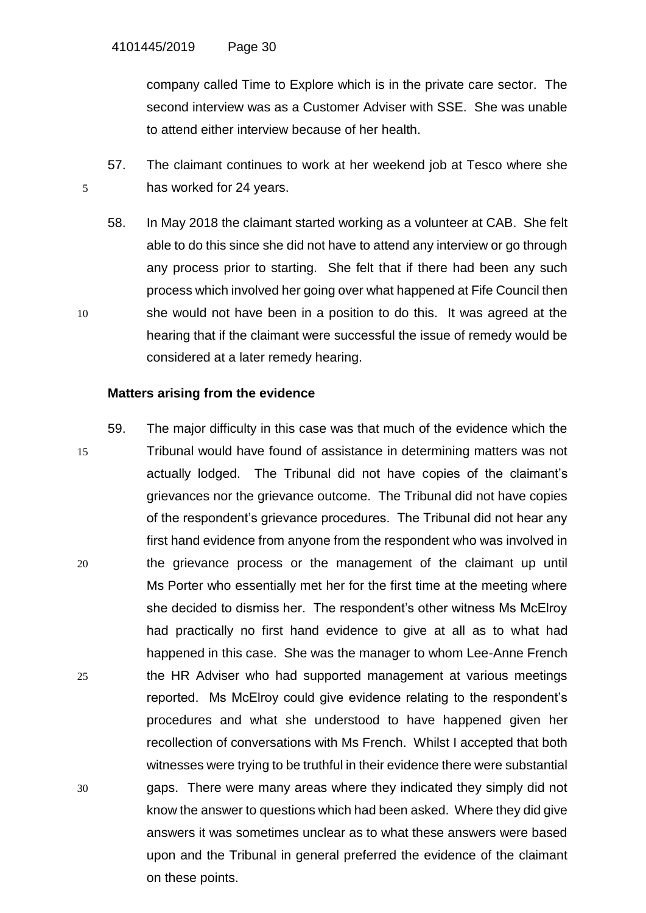company called Time to Explore which is in the private care sector. The second interview was as a Customer Adviser with SSE. She was unable to attend either interview because of her health.

57. The claimant continues to work at her weekend job at Tesco where she 5 has worked for 24 years.

58. In May 2018 the claimant started working as a volunteer at CAB. She felt able to do this since she did not have to attend any interview or go through any process prior to starting. She felt that if there had been any such process which involved her going over what happened at Fife Council then 10 she would not have been in a position to do this. It was agreed at the hearing that if the claimant were successful the issue of remedy would be considered at a later remedy hearing.

## **Matters arising from the evidence**

59. The major difficulty in this case was that much of the evidence which the 15 Tribunal would have found of assistance in determining matters was not actually lodged. The Tribunal did not have copies of the claimant's grievances nor the grievance outcome. The Tribunal did not have copies of the respondent's grievance procedures. The Tribunal did not hear any first hand evidence from anyone from the respondent who was involved in 20 the grievance process or the management of the claimant up until Ms Porter who essentially met her for the first time at the meeting where she decided to dismiss her. The respondent's other witness Ms McElroy had practically no first hand evidence to give at all as to what had happened in this case. She was the manager to whom Lee-Anne French 25 the HR Adviser who had supported management at various meetings reported. Ms McElroy could give evidence relating to the respondent's procedures and what she understood to have happened given her recollection of conversations with Ms French. Whilst I accepted that both witnesses were trying to be truthful in their evidence there were substantial 30 gaps. There were many areas where they indicated they simply did not know the answer to questions which had been asked. Where they did give answers it was sometimes unclear as to what these answers were based upon and the Tribunal in general preferred the evidence of the claimant on these points.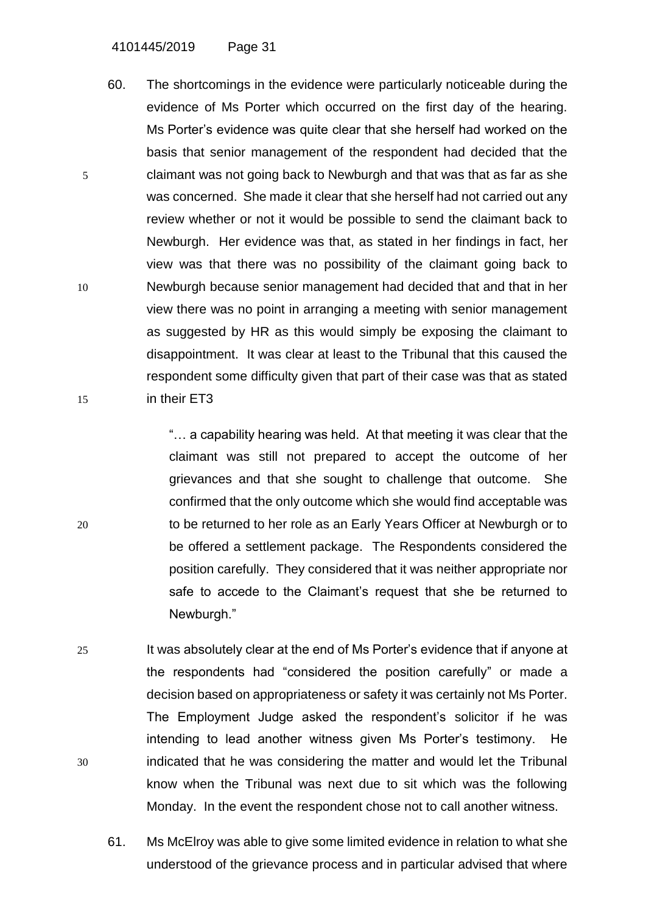4101445/2019 Page 31

60. The shortcomings in the evidence were particularly noticeable during the evidence of Ms Porter which occurred on the first day of the hearing. Ms Porter's evidence was quite clear that she herself had worked on the basis that senior management of the respondent had decided that the 5 claimant was not going back to Newburgh and that was that as far as she was concerned. She made it clear that she herself had not carried out any review whether or not it would be possible to send the claimant back to Newburgh. Her evidence was that, as stated in her findings in fact, her view was that there was no possibility of the claimant going back to 10 Newburgh because senior management had decided that and that in her view there was no point in arranging a meeting with senior management as suggested by HR as this would simply be exposing the claimant to disappointment. It was clear at least to the Tribunal that this caused the respondent some difficulty given that part of their case was that as stated 15 in their ET3

"… a capability hearing was held. At that meeting it was clear that the claimant was still not prepared to accept the outcome of her grievances and that she sought to challenge that outcome. She confirmed that the only outcome which she would find acceptable was 20 to be returned to her role as an Early Years Officer at Newburgh or to be offered a settlement package. The Respondents considered the position carefully. They considered that it was neither appropriate nor safe to accede to the Claimant's request that she be returned to Newburgh."

- 25 It was absolutely clear at the end of Ms Porter's evidence that if anyone at the respondents had "considered the position carefully" or made a decision based on appropriateness or safety it was certainly not Ms Porter. The Employment Judge asked the respondent's solicitor if he was intending to lead another witness given Ms Porter's testimony. He 30 indicated that he was considering the matter and would let the Tribunal know when the Tribunal was next due to sit which was the following Monday. In the event the respondent chose not to call another witness.
	- 61. Ms McElroy was able to give some limited evidence in relation to what she understood of the grievance process and in particular advised that where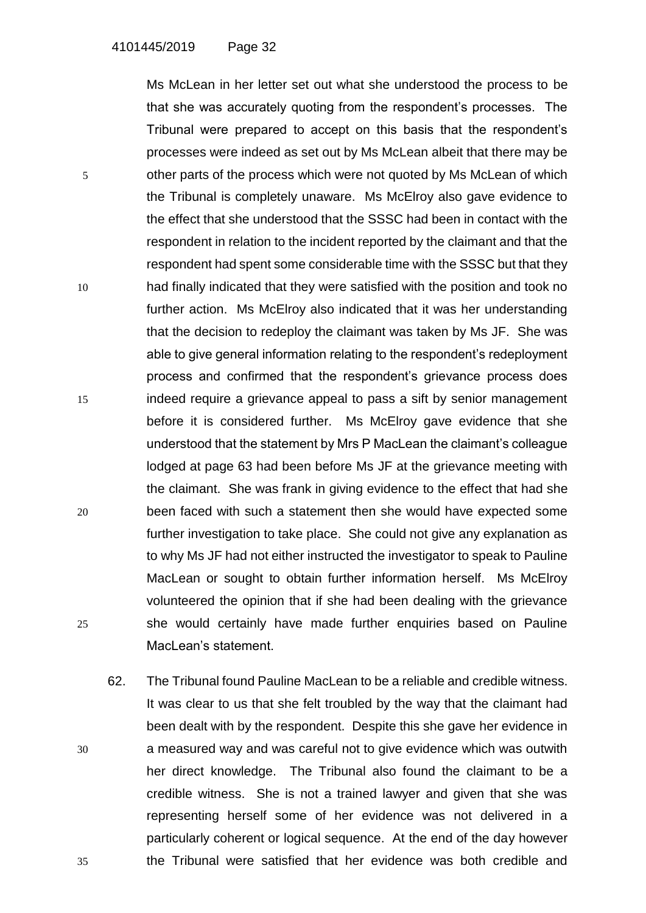Ms McLean in her letter set out what she understood the process to be that she was accurately quoting from the respondent's processes. The Tribunal were prepared to accept on this basis that the respondent's processes were indeed as set out by Ms McLean albeit that there may be 5 other parts of the process which were not quoted by Ms McLean of which the Tribunal is completely unaware. Ms McElroy also gave evidence to the effect that she understood that the SSSC had been in contact with the respondent in relation to the incident reported by the claimant and that the respondent had spent some considerable time with the SSSC but that they 10 had finally indicated that they were satisfied with the position and took no further action. Ms McElroy also indicated that it was her understanding that the decision to redeploy the claimant was taken by Ms JF. She was able to give general information relating to the respondent's redeployment process and confirmed that the respondent's grievance process does 15 indeed require a grievance appeal to pass a sift by senior management before it is considered further. Ms McElroy gave evidence that she understood that the statement by Mrs P MacLean the claimant's colleague lodged at page 63 had been before Ms JF at the grievance meeting with the claimant. She was frank in giving evidence to the effect that had she 20 been faced with such a statement then she would have expected some further investigation to take place. She could not give any explanation as to why Ms JF had not either instructed the investigator to speak to Pauline MacLean or sought to obtain further information herself. Ms McElroy volunteered the opinion that if she had been dealing with the grievance 25 she would certainly have made further enquiries based on Pauline MacLean's statement.

62. The Tribunal found Pauline MacLean to be a reliable and credible witness. It was clear to us that she felt troubled by the way that the claimant had been dealt with by the respondent. Despite this she gave her evidence in 30 a measured way and was careful not to give evidence which was outwith her direct knowledge. The Tribunal also found the claimant to be a credible witness. She is not a trained lawyer and given that she was representing herself some of her evidence was not delivered in a particularly coherent or logical sequence. At the end of the day however 35 the Tribunal were satisfied that her evidence was both credible and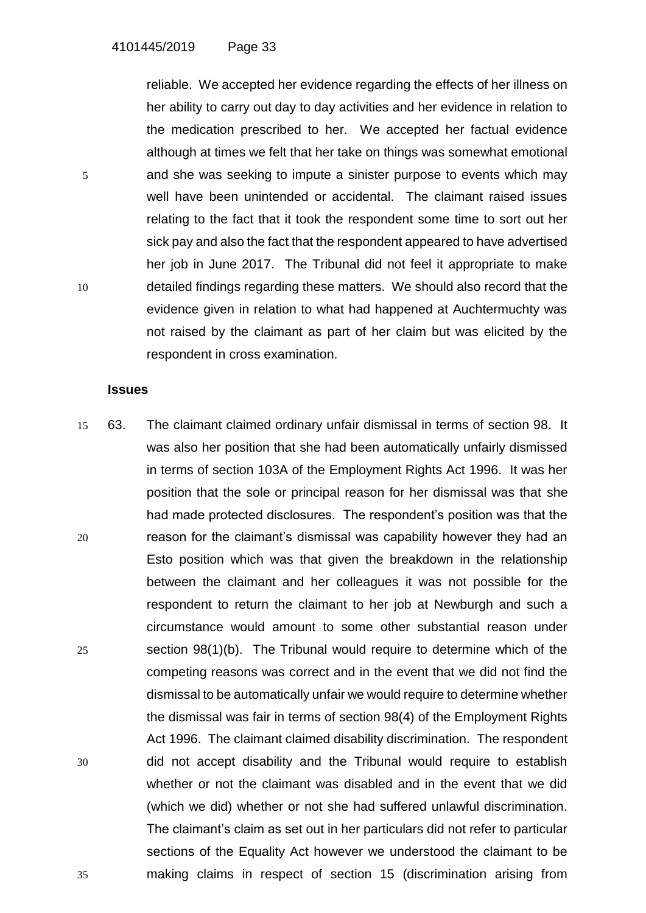reliable. We accepted her evidence regarding the effects of her illness on her ability to carry out day to day activities and her evidence in relation to the medication prescribed to her. We accepted her factual evidence although at times we felt that her take on things was somewhat emotional 5 and she was seeking to impute a sinister purpose to events which may well have been unintended or accidental. The claimant raised issues relating to the fact that it took the respondent some time to sort out her sick pay and also the fact that the respondent appeared to have advertised her job in June 2017. The Tribunal did not feel it appropriate to make 10 detailed findings regarding these matters. We should also record that the evidence given in relation to what had happened at Auchtermuchty was not raised by the claimant as part of her claim but was elicited by the respondent in cross examination.

#### **Issues**

15 63. The claimant claimed ordinary unfair dismissal in terms of section 98. It was also her position that she had been automatically unfairly dismissed in terms of section 103A of the Employment Rights Act 1996. It was her position that the sole or principal reason for her dismissal was that she had made protected disclosures. The respondent's position was that the 20 reason for the claimant's dismissal was capability however they had an Esto position which was that given the breakdown in the relationship between the claimant and her colleagues it was not possible for the respondent to return the claimant to her job at Newburgh and such a circumstance would amount to some other substantial reason under 25 section 98(1)(b). The Tribunal would require to determine which of the competing reasons was correct and in the event that we did not find the dismissal to be automatically unfair we would require to determine whether the dismissal was fair in terms of section 98(4) of the Employment Rights Act 1996. The claimant claimed disability discrimination. The respondent 30 did not accept disability and the Tribunal would require to establish whether or not the claimant was disabled and in the event that we did (which we did) whether or not she had suffered unlawful discrimination. The claimant's claim as set out in her particulars did not refer to particular sections of the Equality Act however we understood the claimant to be 35 making claims in respect of section 15 (discrimination arising from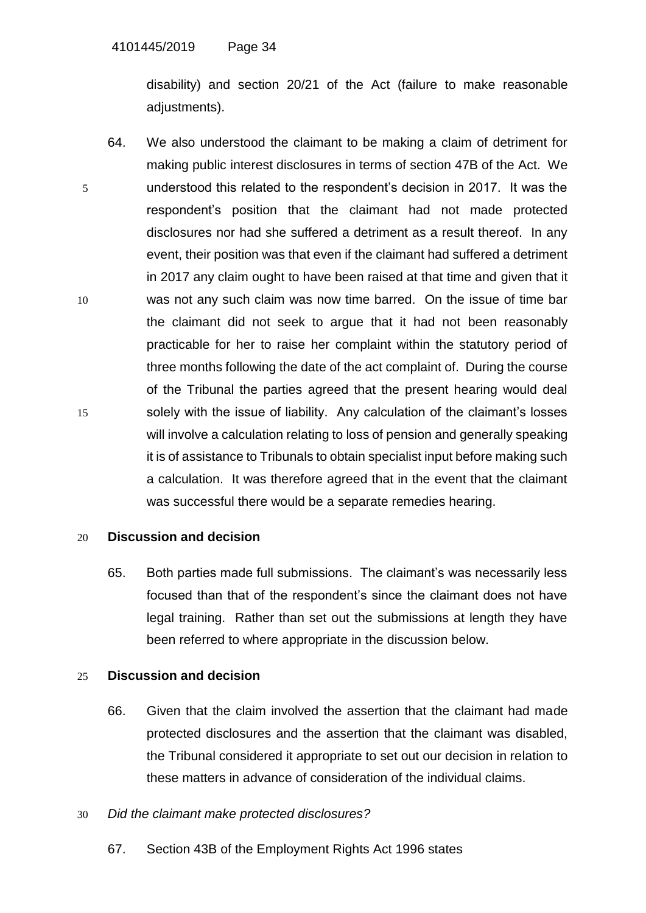disability) and section 20/21 of the Act (failure to make reasonable adjustments).

64. We also understood the claimant to be making a claim of detriment for making public interest disclosures in terms of section 47B of the Act. We 5 understood this related to the respondent's decision in 2017. It was the respondent's position that the claimant had not made protected disclosures nor had she suffered a detriment as a result thereof. In any event, their position was that even if the claimant had suffered a detriment in 2017 any claim ought to have been raised at that time and given that it 10 was not any such claim was now time barred. On the issue of time bar the claimant did not seek to argue that it had not been reasonably practicable for her to raise her complaint within the statutory period of three months following the date of the act complaint of. During the course of the Tribunal the parties agreed that the present hearing would deal 15 solely with the issue of liability. Any calculation of the claimant's losses will involve a calculation relating to loss of pension and generally speaking it is of assistance to Tribunals to obtain specialist input before making such a calculation. It was therefore agreed that in the event that the claimant was successful there would be a separate remedies hearing.

# 20 **Discussion and decision**

65. Both parties made full submissions. The claimant's was necessarily less focused than that of the respondent's since the claimant does not have legal training. Rather than set out the submissions at length they have been referred to where appropriate in the discussion below.

# 25 **Discussion and decision**

66. Given that the claim involved the assertion that the claimant had made protected disclosures and the assertion that the claimant was disabled, the Tribunal considered it appropriate to set out our decision in relation to these matters in advance of consideration of the individual claims.

# 30 *Did the claimant make protected disclosures?*

67. Section 43B of the Employment Rights Act 1996 states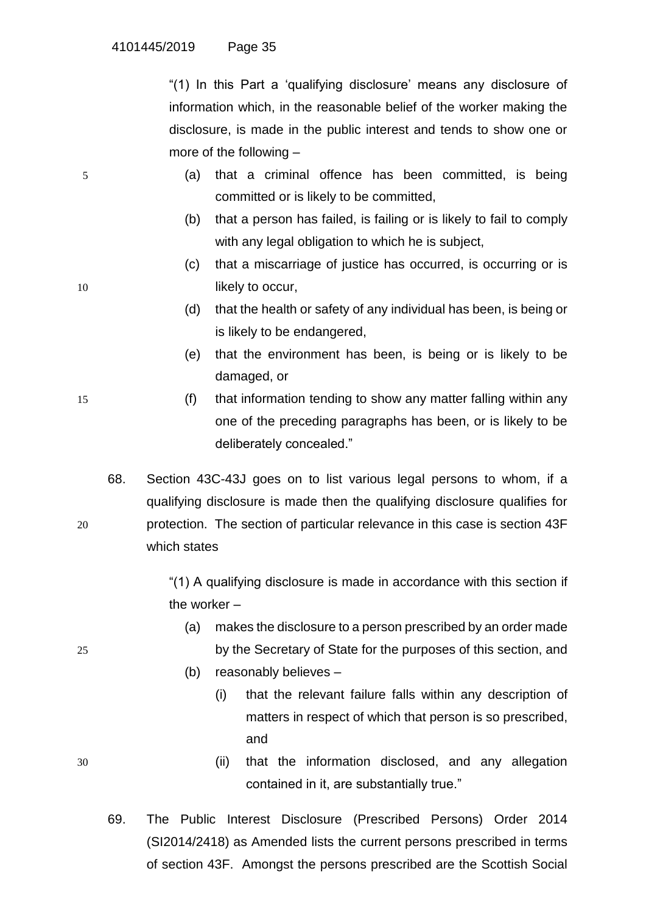"(1) In this Part a 'qualifying disclosure' means any disclosure of information which, in the reasonable belief of the worker making the disclosure, is made in the public interest and tends to show one or more of the following –

- 5 (a) that a criminal offence has been committed, is being committed or is likely to be committed,
	- (b) that a person has failed, is failing or is likely to fail to comply with any legal obligation to which he is subject,
- (c) that a miscarriage of justice has occurred, is occurring or is 10 **likely to occur,** 
	- (d) that the health or safety of any individual has been, is being or is likely to be endangered,
	- (e) that the environment has been, is being or is likely to be damaged, or
- 15 (f) that information tending to show any matter falling within any one of the preceding paragraphs has been, or is likely to be deliberately concealed."
- 68. Section 43C-43J goes on to list various legal persons to whom, if a qualifying disclosure is made then the qualifying disclosure qualifies for 20 protection. The section of particular relevance in this case is section 43F which states

"(1) A qualifying disclosure is made in accordance with this section if the worker –

- (a) makes the disclosure to a person prescribed by an order made 25 by the Secretary of State for the purposes of this section, and
	- (b) reasonably believes
		- (i) that the relevant failure falls within any description of matters in respect of which that person is so prescribed, and
- 30 (ii) that the information disclosed, and any allegation contained in it, are substantially true."
	- 69. The Public Interest Disclosure (Prescribed Persons) Order 2014 (SI2014/2418) as Amended lists the current persons prescribed in terms of section 43F. Amongst the persons prescribed are the Scottish Social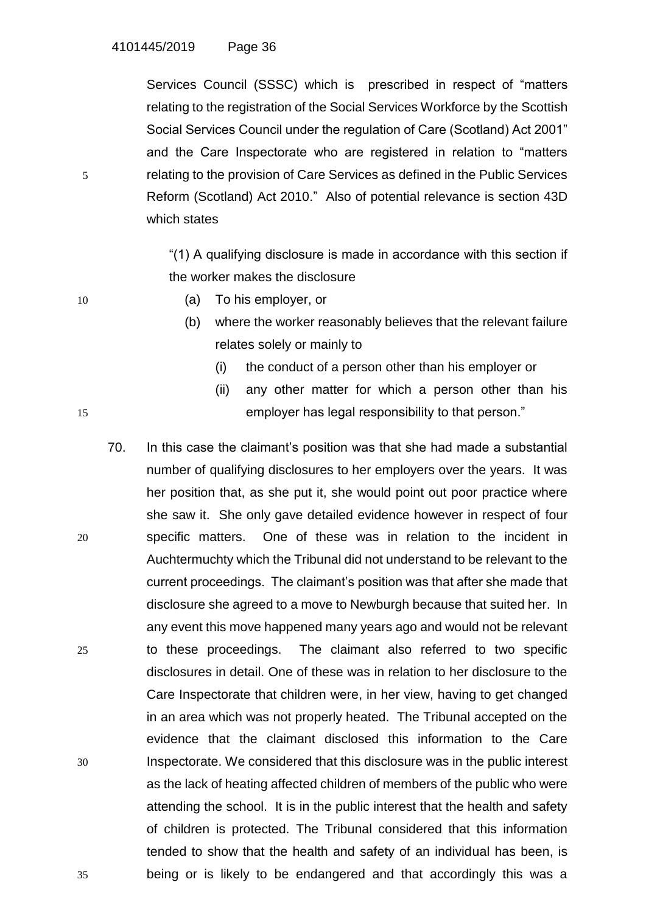Services Council (SSSC) which is prescribed in respect of "matters relating to the registration of the Social Services Workforce by the Scottish Social Services Council under the regulation of Care (Scotland) Act 2001" and the Care Inspectorate who are registered in relation to "matters 5 relating to the provision of Care Services as defined in the Public Services Reform (Scotland) Act 2010." Also of potential relevance is section 43D which states

> "(1) A qualifying disclosure is made in accordance with this section if the worker makes the disclosure

- 10 (a) To his employer, or
	- (b) where the worker reasonably believes that the relevant failure relates solely or mainly to
		- (i) the conduct of a person other than his employer or
- (ii) any other matter for which a person other than his 15 employer has legal responsibility to that person."
- 70. In this case the claimant's position was that she had made a substantial number of qualifying disclosures to her employers over the years. It was her position that, as she put it, she would point out poor practice where she saw it. She only gave detailed evidence however in respect of four 20 specific matters. One of these was in relation to the incident in Auchtermuchty which the Tribunal did not understand to be relevant to the current proceedings. The claimant's position was that after she made that disclosure she agreed to a move to Newburgh because that suited her. In any event this move happened many years ago and would not be relevant 25 to these proceedings. The claimant also referred to two specific disclosures in detail. One of these was in relation to her disclosure to the Care Inspectorate that children were, in her view, having to get changed in an area which was not properly heated. The Tribunal accepted on the evidence that the claimant disclosed this information to the Care 30 Inspectorate. We considered that this disclosure was in the public interest as the lack of heating affected children of members of the public who were attending the school. It is in the public interest that the health and safety of children is protected. The Tribunal considered that this information tended to show that the health and safety of an individual has been, is 35 being or is likely to be endangered and that accordingly this was a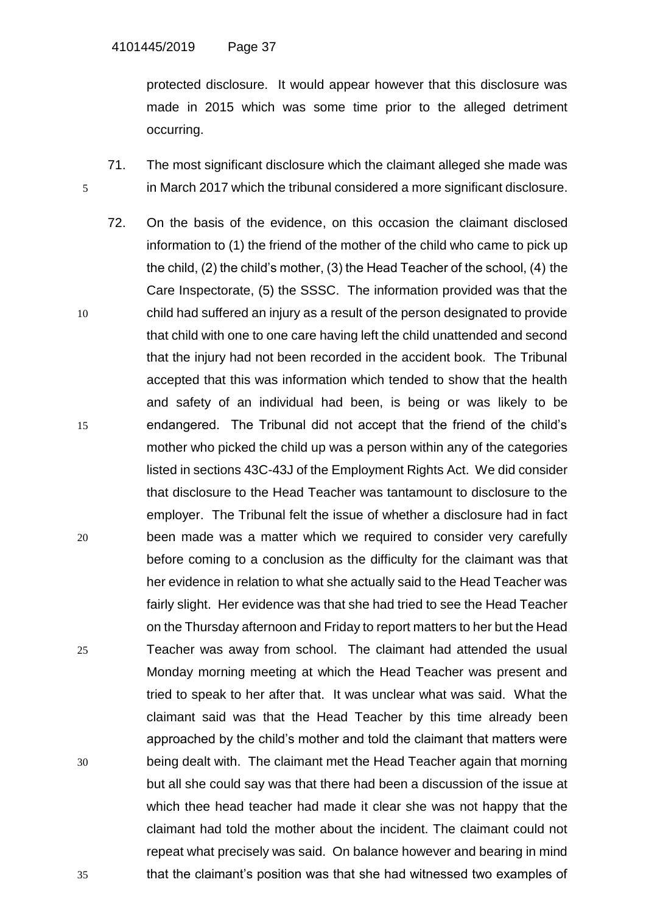protected disclosure. It would appear however that this disclosure was made in 2015 which was some time prior to the alleged detriment occurring.

- 71. The most significant disclosure which the claimant alleged she made was 5 in March 2017 which the tribunal considered a more significant disclosure.
- 72. On the basis of the evidence, on this occasion the claimant disclosed information to (1) the friend of the mother of the child who came to pick up the child, (2) the child's mother, (3) the Head Teacher of the school, (4) the Care Inspectorate, (5) the SSSC. The information provided was that the 10 child had suffered an injury as a result of the person designated to provide that child with one to one care having left the child unattended and second that the injury had not been recorded in the accident book. The Tribunal accepted that this was information which tended to show that the health and safety of an individual had been, is being or was likely to be 15 endangered. The Tribunal did not accept that the friend of the child's mother who picked the child up was a person within any of the categories listed in sections 43C-43J of the Employment Rights Act. We did consider that disclosure to the Head Teacher was tantamount to disclosure to the employer. The Tribunal felt the issue of whether a disclosure had in fact 20 been made was a matter which we required to consider very carefully before coming to a conclusion as the difficulty for the claimant was that her evidence in relation to what she actually said to the Head Teacher was fairly slight. Her evidence was that she had tried to see the Head Teacher on the Thursday afternoon and Friday to report matters to her but the Head 25 Teacher was away from school. The claimant had attended the usual Monday morning meeting at which the Head Teacher was present and tried to speak to her after that. It was unclear what was said. What the claimant said was that the Head Teacher by this time already been approached by the child's mother and told the claimant that matters were 30 being dealt with. The claimant met the Head Teacher again that morning but all she could say was that there had been a discussion of the issue at which thee head teacher had made it clear she was not happy that the claimant had told the mother about the incident. The claimant could not repeat what precisely was said. On balance however and bearing in mind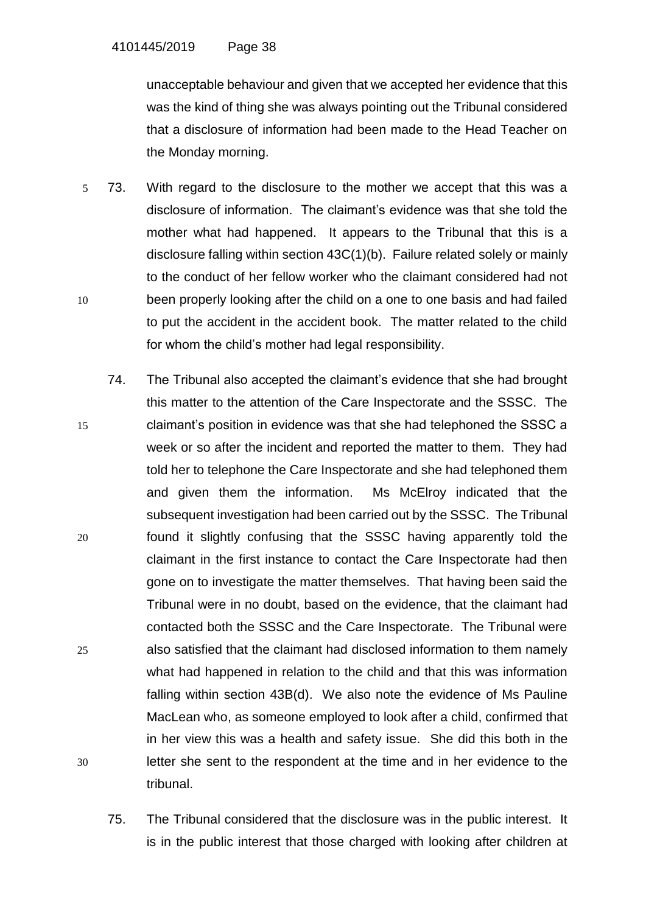unacceptable behaviour and given that we accepted her evidence that this was the kind of thing she was always pointing out the Tribunal considered that a disclosure of information had been made to the Head Teacher on the Monday morning.

- 5 73. With regard to the disclosure to the mother we accept that this was a disclosure of information. The claimant's evidence was that she told the mother what had happened. It appears to the Tribunal that this is a disclosure falling within section 43C(1)(b). Failure related solely or mainly to the conduct of her fellow worker who the claimant considered had not 10 been properly looking after the child on a one to one basis and had failed to put the accident in the accident book. The matter related to the child for whom the child's mother had legal responsibility.
- 74. The Tribunal also accepted the claimant's evidence that she had brought this matter to the attention of the Care Inspectorate and the SSSC. The 15 claimant's position in evidence was that she had telephoned the SSSC a week or so after the incident and reported the matter to them. They had told her to telephone the Care Inspectorate and she had telephoned them and given them the information. Ms McElroy indicated that the subsequent investigation had been carried out by the SSSC. The Tribunal 20 found it slightly confusing that the SSSC having apparently told the claimant in the first instance to contact the Care Inspectorate had then gone on to investigate the matter themselves. That having been said the Tribunal were in no doubt, based on the evidence, that the claimant had contacted both the SSSC and the Care Inspectorate. The Tribunal were 25 also satisfied that the claimant had disclosed information to them namely what had happened in relation to the child and that this was information falling within section 43B(d). We also note the evidence of Ms Pauline MacLean who, as someone employed to look after a child, confirmed that in her view this was a health and safety issue. She did this both in the 30 letter she sent to the respondent at the time and in her evidence to the tribunal.
	- 75. The Tribunal considered that the disclosure was in the public interest. It is in the public interest that those charged with looking after children at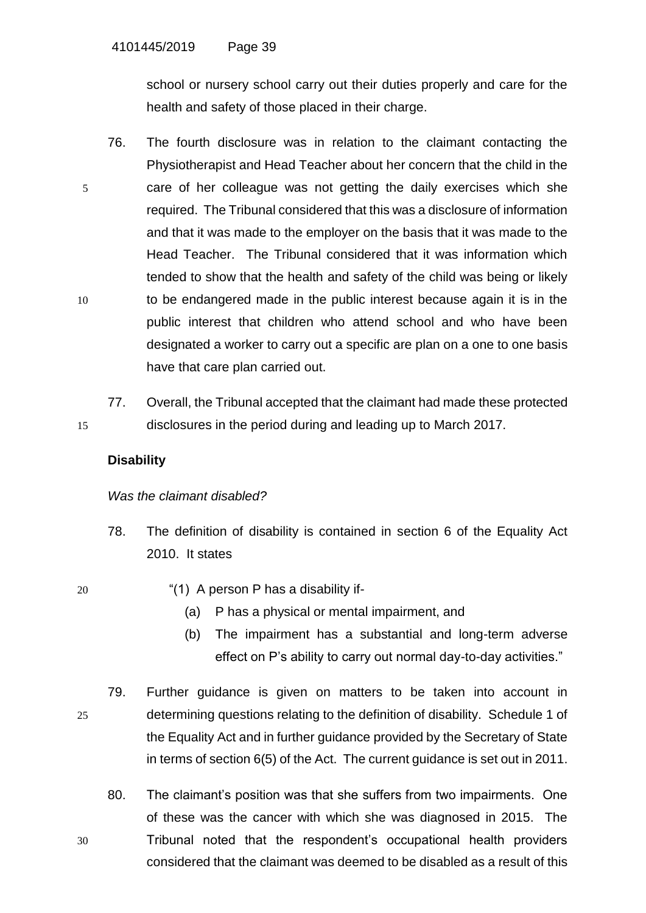school or nursery school carry out their duties properly and care for the health and safety of those placed in their charge.

- 76. The fourth disclosure was in relation to the claimant contacting the Physiotherapist and Head Teacher about her concern that the child in the 5 care of her colleague was not getting the daily exercises which she required. The Tribunal considered that this was a disclosure of information and that it was made to the employer on the basis that it was made to the Head Teacher. The Tribunal considered that it was information which tended to show that the health and safety of the child was being or likely 10 to be endangered made in the public interest because again it is in the public interest that children who attend school and who have been designated a worker to carry out a specific are plan on a one to one basis have that care plan carried out.
- 77. Overall, the Tribunal accepted that the claimant had made these protected 15 disclosures in the period during and leading up to March 2017.

# **Disability**

## *Was the claimant disabled?*

- 78. The definition of disability is contained in section 6 of the Equality Act 2010. It states
- 
- 20 "(1) A person P has a disability if-
	- (a) P has a physical or mental impairment, and
	- (b) The impairment has a substantial and long-term adverse effect on P's ability to carry out normal day-to-day activities."
- 79. Further guidance is given on matters to be taken into account in 25 determining questions relating to the definition of disability. Schedule 1 of the Equality Act and in further guidance provided by the Secretary of State in terms of section 6(5) of the Act. The current guidance is set out in 2011.
- 80. The claimant's position was that she suffers from two impairments. One of these was the cancer with which she was diagnosed in 2015. The 30 Tribunal noted that the respondent's occupational health providers considered that the claimant was deemed to be disabled as a result of this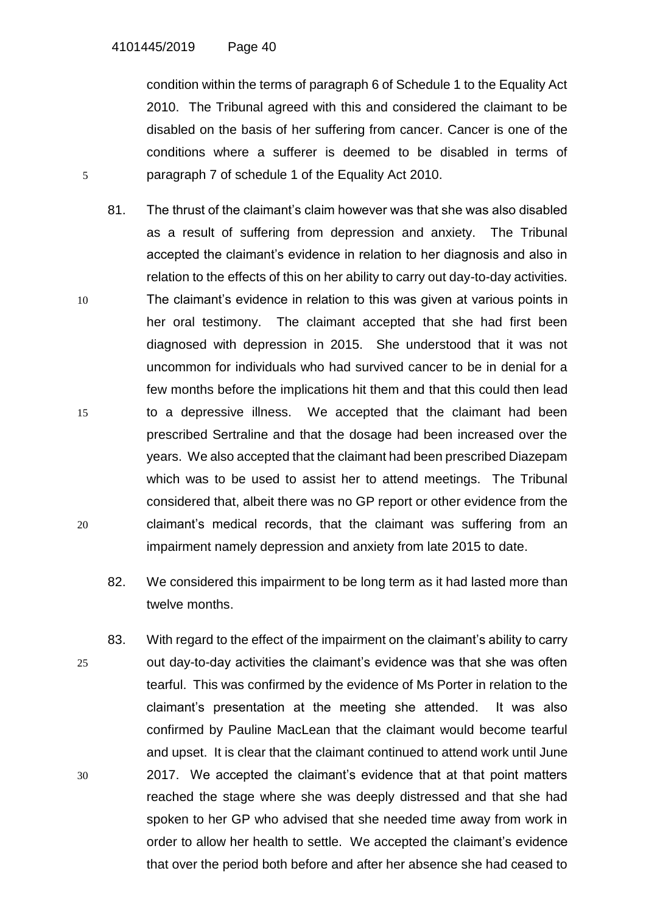condition within the terms of paragraph 6 of Schedule 1 to the Equality Act 2010. The Tribunal agreed with this and considered the claimant to be disabled on the basis of her suffering from cancer. Cancer is one of the conditions where a sufferer is deemed to be disabled in terms of 5 paragraph 7 of schedule 1 of the Equality Act 2010.

- 81. The thrust of the claimant's claim however was that she was also disabled as a result of suffering from depression and anxiety. The Tribunal accepted the claimant's evidence in relation to her diagnosis and also in relation to the effects of this on her ability to carry out day-to-day activities. 10 The claimant's evidence in relation to this was given at various points in her oral testimony. The claimant accepted that she had first been diagnosed with depression in 2015. She understood that it was not uncommon for individuals who had survived cancer to be in denial for a few months before the implications hit them and that this could then lead 15 to a depressive illness. We accepted that the claimant had been prescribed Sertraline and that the dosage had been increased over the years. We also accepted that the claimant had been prescribed Diazepam which was to be used to assist her to attend meetings. The Tribunal considered that, albeit there was no GP report or other evidence from the 20 claimant's medical records, that the claimant was suffering from an impairment namely depression and anxiety from late 2015 to date.
	- 82. We considered this impairment to be long term as it had lasted more than twelve months.
- 83. With regard to the effect of the impairment on the claimant's ability to carry 25 out day-to-day activities the claimant's evidence was that she was often tearful. This was confirmed by the evidence of Ms Porter in relation to the claimant's presentation at the meeting she attended. It was also confirmed by Pauline MacLean that the claimant would become tearful and upset. It is clear that the claimant continued to attend work until June 30 2017. We accepted the claimant's evidence that at that point matters reached the stage where she was deeply distressed and that she had spoken to her GP who advised that she needed time away from work in order to allow her health to settle. We accepted the claimant's evidence that over the period both before and after her absence she had ceased to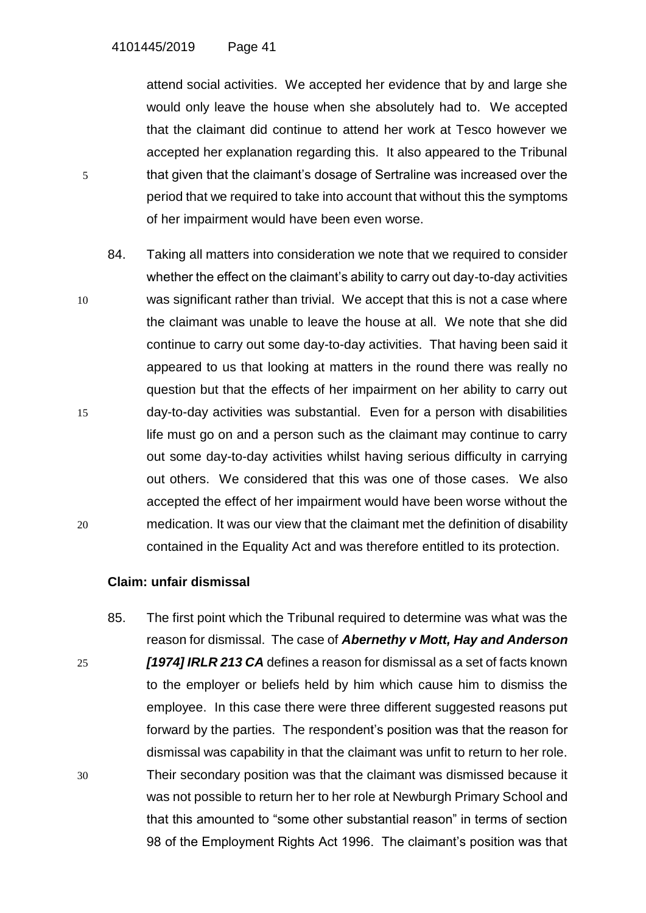attend social activities. We accepted her evidence that by and large she would only leave the house when she absolutely had to. We accepted that the claimant did continue to attend her work at Tesco however we accepted her explanation regarding this. It also appeared to the Tribunal 5 that given that the claimant's dosage of Sertraline was increased over the period that we required to take into account that without this the symptoms of her impairment would have been even worse.

84. Taking all matters into consideration we note that we required to consider whether the effect on the claimant's ability to carry out day-to-day activities 10 was significant rather than trivial. We accept that this is not a case where the claimant was unable to leave the house at all. We note that she did continue to carry out some day-to-day activities. That having been said it appeared to us that looking at matters in the round there was really no question but that the effects of her impairment on her ability to carry out 15 day-to-day activities was substantial. Even for a person with disabilities life must go on and a person such as the claimant may continue to carry out some day-to-day activities whilst having serious difficulty in carrying out others. We considered that this was one of those cases. We also accepted the effect of her impairment would have been worse without the 20 medication. It was our view that the claimant met the definition of disability contained in the Equality Act and was therefore entitled to its protection.

## **Claim: unfair dismissal**

85. The first point which the Tribunal required to determine was what was the reason for dismissal. The case of *Abernethy v Mott, Hay and Anderson*  25 *[1974] IRLR 213 CA* defines a reason for dismissal as a set of facts known to the employer or beliefs held by him which cause him to dismiss the employee. In this case there were three different suggested reasons put forward by the parties. The respondent's position was that the reason for dismissal was capability in that the claimant was unfit to return to her role. 30 Their secondary position was that the claimant was dismissed because it was not possible to return her to her role at Newburgh Primary School and that this amounted to "some other substantial reason" in terms of section 98 of the Employment Rights Act 1996. The claimant's position was that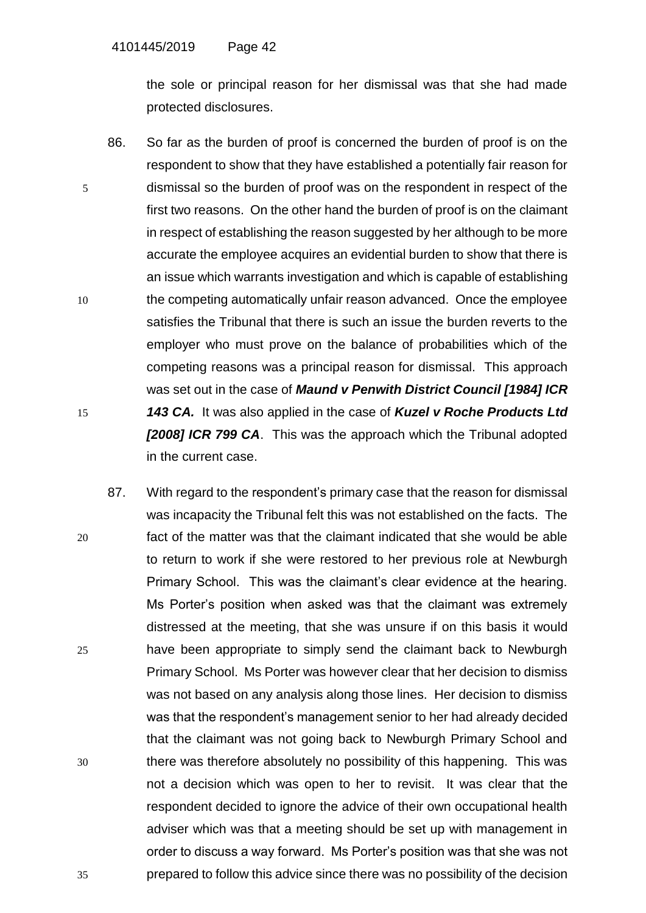the sole or principal reason for her dismissal was that she had made protected disclosures.

- 86. So far as the burden of proof is concerned the burden of proof is on the respondent to show that they have established a potentially fair reason for 5 dismissal so the burden of proof was on the respondent in respect of the first two reasons. On the other hand the burden of proof is on the claimant in respect of establishing the reason suggested by her although to be more accurate the employee acquires an evidential burden to show that there is an issue which warrants investigation and which is capable of establishing 10 the competing automatically unfair reason advanced. Once the employee satisfies the Tribunal that there is such an issue the burden reverts to the employer who must prove on the balance of probabilities which of the competing reasons was a principal reason for dismissal. This approach was set out in the case of *Maund v Penwith District Council [1984] ICR*  15 *143 CA.* It was also applied in the case of *Kuzel v Roche Products Ltd [2008] ICR 799 CA*. This was the approach which the Tribunal adopted in the current case.
- 87. With regard to the respondent's primary case that the reason for dismissal was incapacity the Tribunal felt this was not established on the facts. The 20 fact of the matter was that the claimant indicated that she would be able to return to work if she were restored to her previous role at Newburgh Primary School. This was the claimant's clear evidence at the hearing. Ms Porter's position when asked was that the claimant was extremely distressed at the meeting, that she was unsure if on this basis it would 25 have been appropriate to simply send the claimant back to Newburgh Primary School. Ms Porter was however clear that her decision to dismiss was not based on any analysis along those lines. Her decision to dismiss was that the respondent's management senior to her had already decided that the claimant was not going back to Newburgh Primary School and 30 there was therefore absolutely no possibility of this happening. This was not a decision which was open to her to revisit. It was clear that the respondent decided to ignore the advice of their own occupational health adviser which was that a meeting should be set up with management in order to discuss a way forward. Ms Porter's position was that she was not 35 prepared to follow this advice since there was no possibility of the decision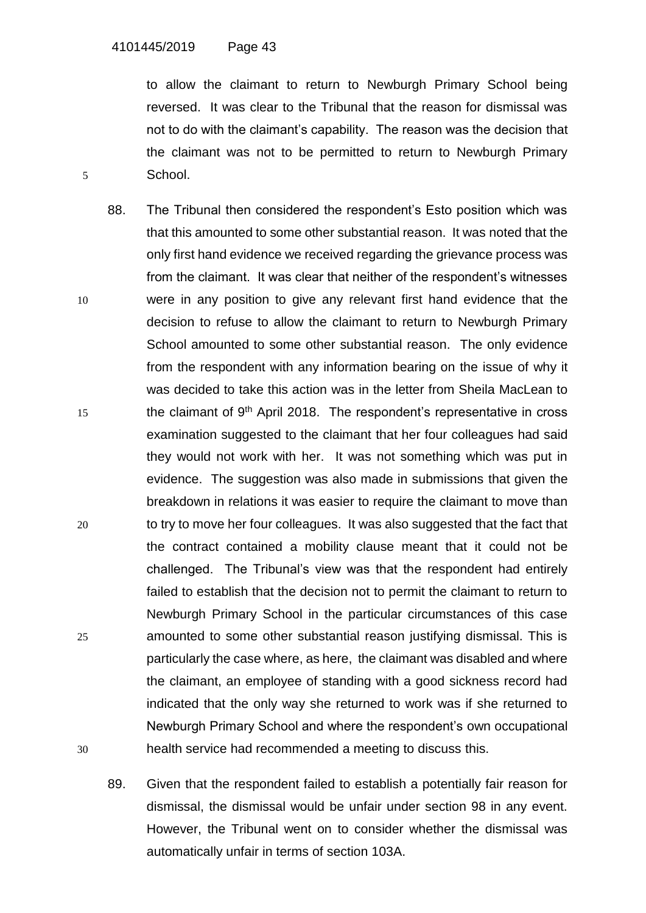to allow the claimant to return to Newburgh Primary School being reversed. It was clear to the Tribunal that the reason for dismissal was not to do with the claimant's capability. The reason was the decision that the claimant was not to be permitted to return to Newburgh Primary 5 School.

- 88. The Tribunal then considered the respondent's Esto position which was that this amounted to some other substantial reason. It was noted that the only first hand evidence we received regarding the grievance process was from the claimant. It was clear that neither of the respondent's witnesses 10 were in any position to give any relevant first hand evidence that the decision to refuse to allow the claimant to return to Newburgh Primary School amounted to some other substantial reason. The only evidence from the respondent with any information bearing on the issue of why it was decided to take this action was in the letter from Sheila MacLean to  $15$  the claimant of 9<sup>th</sup> April 2018. The respondent's representative in cross examination suggested to the claimant that her four colleagues had said they would not work with her. It was not something which was put in evidence. The suggestion was also made in submissions that given the breakdown in relations it was easier to require the claimant to move than 20 to try to move her four colleagues. It was also suggested that the fact that the contract contained a mobility clause meant that it could not be challenged. The Tribunal's view was that the respondent had entirely failed to establish that the decision not to permit the claimant to return to Newburgh Primary School in the particular circumstances of this case 25 amounted to some other substantial reason justifying dismissal. This is particularly the case where, as here, the claimant was disabled and where the claimant, an employee of standing with a good sickness record had indicated that the only way she returned to work was if she returned to Newburgh Primary School and where the respondent's own occupational 30 health service had recommended a meeting to discuss this.
	- 89. Given that the respondent failed to establish a potentially fair reason for dismissal, the dismissal would be unfair under section 98 in any event. However, the Tribunal went on to consider whether the dismissal was automatically unfair in terms of section 103A.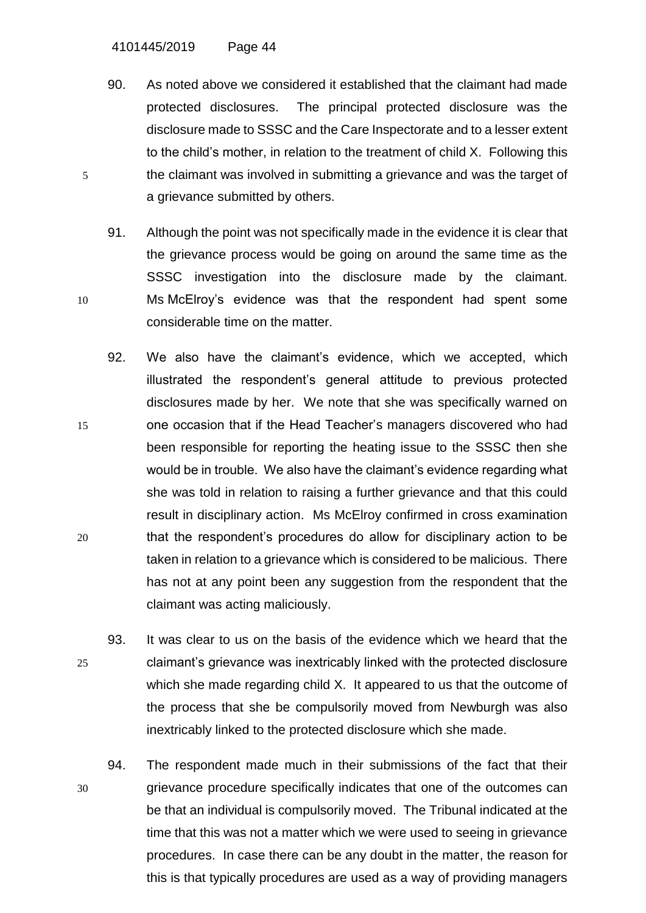4101445/2019 Page 44

90. As noted above we considered it established that the claimant had made protected disclosures. The principal protected disclosure was the disclosure made to SSSC and the Care Inspectorate and to a lesser extent to the child's mother, in relation to the treatment of child X. Following this 5 the claimant was involved in submitting a grievance and was the target of a grievance submitted by others.

- 91. Although the point was not specifically made in the evidence it is clear that the grievance process would be going on around the same time as the SSSC investigation into the disclosure made by the claimant. 10 Ms McElroy's evidence was that the respondent had spent some considerable time on the matter.
- 92. We also have the claimant's evidence, which we accepted, which illustrated the respondent's general attitude to previous protected disclosures made by her. We note that she was specifically warned on 15 one occasion that if the Head Teacher's managers discovered who had been responsible for reporting the heating issue to the SSSC then she would be in trouble. We also have the claimant's evidence regarding what she was told in relation to raising a further grievance and that this could result in disciplinary action. Ms McElroy confirmed in cross examination 20 that the respondent's procedures do allow for disciplinary action to be taken in relation to a grievance which is considered to be malicious. There has not at any point been any suggestion from the respondent that the claimant was acting maliciously.
- 93. It was clear to us on the basis of the evidence which we heard that the 25 claimant's grievance was inextricably linked with the protected disclosure which she made regarding child X. It appeared to us that the outcome of the process that she be compulsorily moved from Newburgh was also inextricably linked to the protected disclosure which she made.
- 94. The respondent made much in their submissions of the fact that their 30 grievance procedure specifically indicates that one of the outcomes can be that an individual is compulsorily moved. The Tribunal indicated at the time that this was not a matter which we were used to seeing in grievance procedures. In case there can be any doubt in the matter, the reason for this is that typically procedures are used as a way of providing managers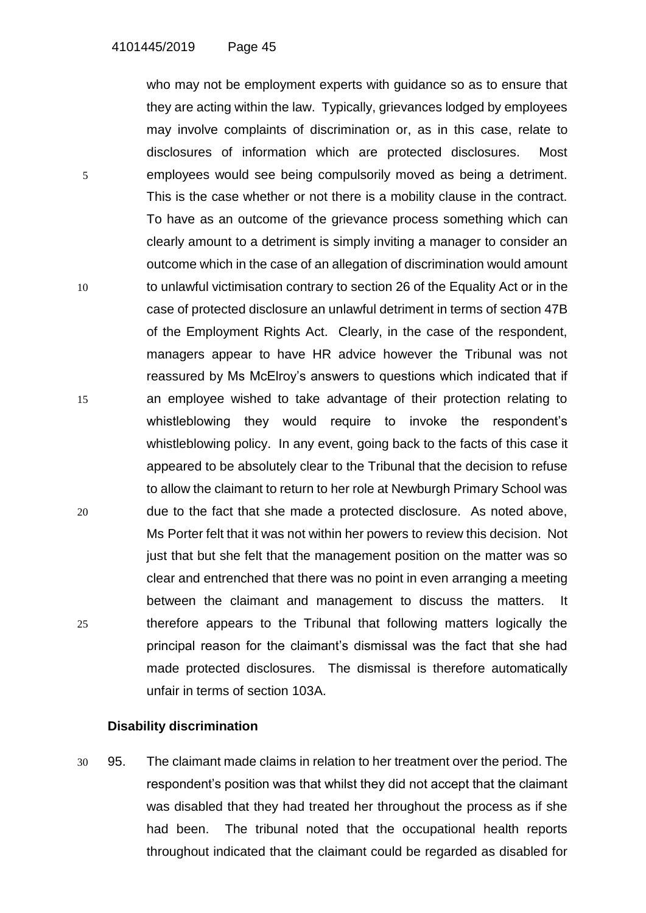who may not be employment experts with guidance so as to ensure that they are acting within the law. Typically, grievances lodged by employees may involve complaints of discrimination or, as in this case, relate to disclosures of information which are protected disclosures. Most 5 employees would see being compulsorily moved as being a detriment. This is the case whether or not there is a mobility clause in the contract. To have as an outcome of the grievance process something which can clearly amount to a detriment is simply inviting a manager to consider an outcome which in the case of an allegation of discrimination would amount 10 to unlawful victimisation contrary to section 26 of the Equality Act or in the case of protected disclosure an unlawful detriment in terms of section 47B of the Employment Rights Act. Clearly, in the case of the respondent, managers appear to have HR advice however the Tribunal was not reassured by Ms McElroy's answers to questions which indicated that if 15 an employee wished to take advantage of their protection relating to whistleblowing they would require to invoke the respondent's whistleblowing policy. In any event, going back to the facts of this case it appeared to be absolutely clear to the Tribunal that the decision to refuse to allow the claimant to return to her role at Newburgh Primary School was 20 due to the fact that she made a protected disclosure. As noted above, Ms Porter felt that it was not within her powers to review this decision. Not just that but she felt that the management position on the matter was so clear and entrenched that there was no point in even arranging a meeting between the claimant and management to discuss the matters. It 25 therefore appears to the Tribunal that following matters logically the principal reason for the claimant's dismissal was the fact that she had made protected disclosures. The dismissal is therefore automatically unfair in terms of section 103A.

## **Disability discrimination**

30 95. The claimant made claims in relation to her treatment over the period. The respondent's position was that whilst they did not accept that the claimant was disabled that they had treated her throughout the process as if she had been. The tribunal noted that the occupational health reports throughout indicated that the claimant could be regarded as disabled for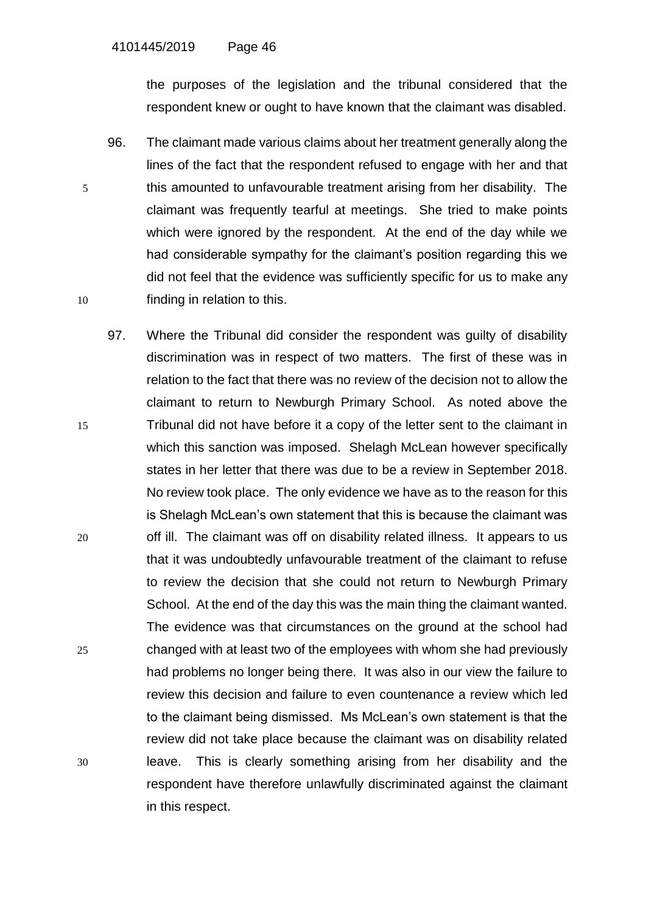the purposes of the legislation and the tribunal considered that the respondent knew or ought to have known that the claimant was disabled.

- 96. The claimant made various claims about her treatment generally along the lines of the fact that the respondent refused to engage with her and that 5 this amounted to unfavourable treatment arising from her disability. The claimant was frequently tearful at meetings. She tried to make points which were ignored by the respondent. At the end of the day while we had considerable sympathy for the claimant's position regarding this we did not feel that the evidence was sufficiently specific for us to make any 10 finding in relation to this.
- 97. Where the Tribunal did consider the respondent was guilty of disability discrimination was in respect of two matters. The first of these was in relation to the fact that there was no review of the decision not to allow the claimant to return to Newburgh Primary School. As noted above the 15 Tribunal did not have before it a copy of the letter sent to the claimant in which this sanction was imposed. Shelagh McLean however specifically states in her letter that there was due to be a review in September 2018. No review took place. The only evidence we have as to the reason for this is Shelagh McLean's own statement that this is because the claimant was 20 off ill. The claimant was off on disability related illness. It appears to us that it was undoubtedly unfavourable treatment of the claimant to refuse to review the decision that she could not return to Newburgh Primary School. At the end of the day this was the main thing the claimant wanted. The evidence was that circumstances on the ground at the school had 25 changed with at least two of the employees with whom she had previously had problems no longer being there. It was also in our view the failure to review this decision and failure to even countenance a review which led to the claimant being dismissed. Ms McLean's own statement is that the review did not take place because the claimant was on disability related 30 leave. This is clearly something arising from her disability and the respondent have therefore unlawfully discriminated against the claimant in this respect.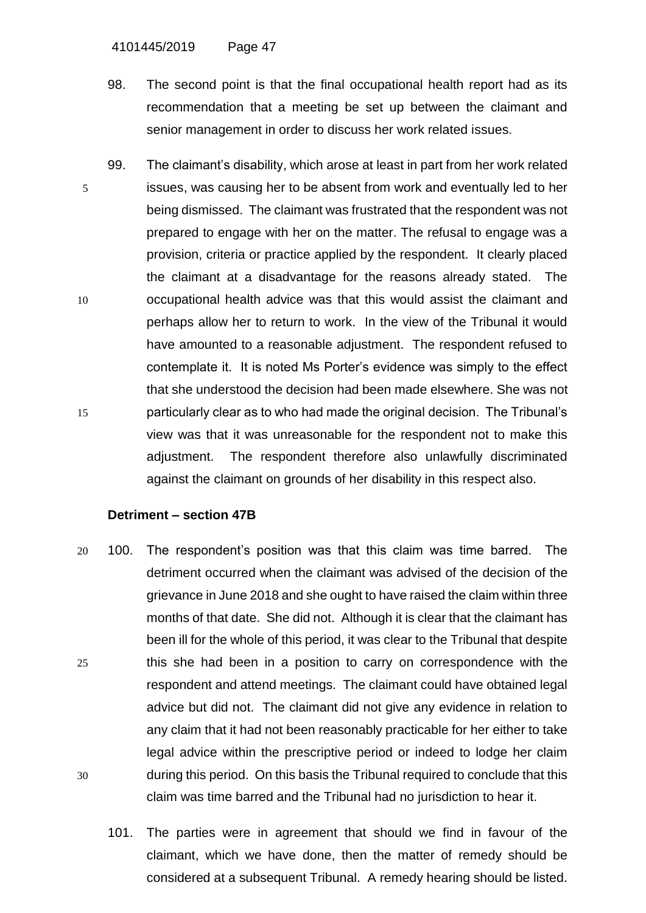4101445/2019 Page 47

- 98. The second point is that the final occupational health report had as its recommendation that a meeting be set up between the claimant and senior management in order to discuss her work related issues.
- 99. The claimant's disability, which arose at least in part from her work related 5 issues, was causing her to be absent from work and eventually led to her being dismissed. The claimant was frustrated that the respondent was not prepared to engage with her on the matter. The refusal to engage was a provision, criteria or practice applied by the respondent. It clearly placed the claimant at a disadvantage for the reasons already stated. The 10 occupational health advice was that this would assist the claimant and perhaps allow her to return to work. In the view of the Tribunal it would have amounted to a reasonable adjustment. The respondent refused to contemplate it. It is noted Ms Porter's evidence was simply to the effect that she understood the decision had been made elsewhere. She was not 15 particularly clear as to who had made the original decision. The Tribunal's view was that it was unreasonable for the respondent not to make this adjustment. The respondent therefore also unlawfully discriminated against the claimant on grounds of her disability in this respect also.

### **Detriment – section 47B**

- 20 100. The respondent's position was that this claim was time barred. The detriment occurred when the claimant was advised of the decision of the grievance in June 2018 and she ought to have raised the claim within three months of that date. She did not. Although it is clear that the claimant has been ill for the whole of this period, it was clear to the Tribunal that despite 25 this she had been in a position to carry on correspondence with the respondent and attend meetings. The claimant could have obtained legal advice but did not. The claimant did not give any evidence in relation to any claim that it had not been reasonably practicable for her either to take legal advice within the prescriptive period or indeed to lodge her claim 30 during this period. On this basis the Tribunal required to conclude that this claim was time barred and the Tribunal had no jurisdiction to hear it.
	- 101. The parties were in agreement that should we find in favour of the claimant, which we have done, then the matter of remedy should be considered at a subsequent Tribunal. A remedy hearing should be listed.